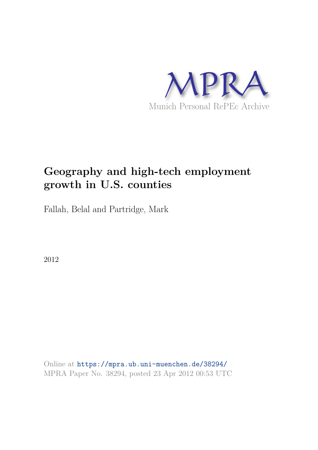

# **Geography and high-tech employment growth in U.S. counties**

Fallah, Belal and Partridge, Mark

2012

Online at https://mpra.ub.uni-muenchen.de/38294/ MPRA Paper No. 38294, posted 23 Apr 2012 00:53 UTC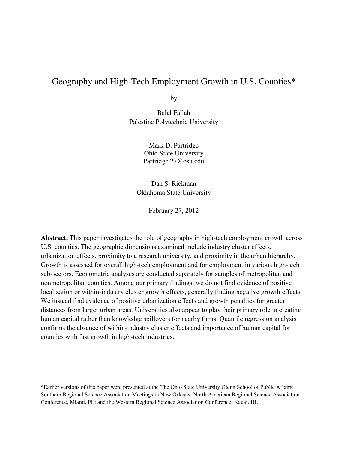# Geography and High-Tech Employment Growth in U.S. Counties\*

by

Belal Fallah Palestine Polytechnic University

> Mark D. Partridge Ohio State University Partridge.27@osu.edu

Dan S. Rickman Oklahoma State University

February 27, 2012

**Abstract.** This paper investigates the role of geography in high-tech employment growth across U.S. counties. The geographic dimensions examined include industry cluster effects, urbanization effects, proximity to a research university, and proximity in the urban hierarchy. Growth is assessed for overall high-tech employment and for employment in various high-tech sub-sectors. Econometric analyses are conducted separately for samples of metropolitan and nonmetropolitan counties. Among our primary findings, we do not find evidence of positive localization or within-industry cluster growth effects, generally finding negative growth effects. We instead find evidence of positive urbanization effects and growth penalties for greater distances from larger urban areas. Universities also appear to play their primary role in creating human capital rather than knowledge spillovers for nearby firms. Quantile regression analysis confirms the absence of within-industry cluster effects and importance of human capital for counties with fast growth in high-tech industries.

\*Earlier versions of this paper were presented at the The Ohio State University Glenn School of Public Affairs; Southern Regional Science Association Meetings in New Orleans; North American Regional Science Association Conference, Miami, FL; and the Western Regional Science Association Conference, Kauai, HI.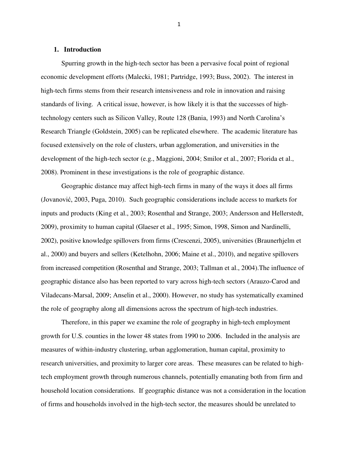#### **1. Introduction**

Spurring growth in the high-tech sector has been a pervasive focal point of regional economic development efforts (Malecki, 1981; Partridge, 1993; Buss, 2002). The interest in high-tech firms stems from their research intensiveness and role in innovation and raising standards of living. A critical issue, however, is how likely it is that the successes of hightechnology centers such as Silicon Valley, Route 128 (Bania, 1993) and North Carolina's Research Triangle (Goldstein, 2005) can be replicated elsewhere. The academic literature has focused extensively on the role of clusters, urban agglomeration, and universities in the development of the high-tech sector (e.g., Maggioni, 2004; Smilor et al., 2007; Florida et al., 2008). Prominent in these investigations is the role of geographic distance.

Geographic distance may affect high-tech firms in many of the ways it does all firms (Jovanović, 2003, Puga, 2010). Such geographic considerations include access to markets for inputs and products (King et al., 2003; Rosenthal and Strange, 2003; Andersson and Hellerstedt, 2009), proximity to human capital (Glaeser et al., 1995; Simon, 1998, Simon and Nardinelli, 2002), positive knowledge spillovers from firms (Crescenzi, 2005), universities (Braunerhjelm et al., 2000) and buyers and sellers (Ketelhohn, 2006; Maine et al., 2010), and negative spillovers from increased competition (Rosenthal and Strange, 2003; Tallman et al., 2004).The influence of geographic distance also has been reported to vary across high-tech sectors (Arauzo-Carod and Viladecans-Marsal, 2009; Anselin et al., 2000). However, no study has systematically examined the role of geography along all dimensions across the spectrum of high-tech industries.

Therefore, in this paper we examine the role of geography in high-tech employment growth for U.S. counties in the lower 48 states from 1990 to 2006. Included in the analysis are measures of within-industry clustering, urban agglomeration, human capital, proximity to research universities, and proximity to larger core areas. These measures can be related to hightech employment growth through numerous channels, potentially emanating both from firm and household location considerations. If geographic distance was not a consideration in the location of firms and households involved in the high-tech sector, the measures should be unrelated to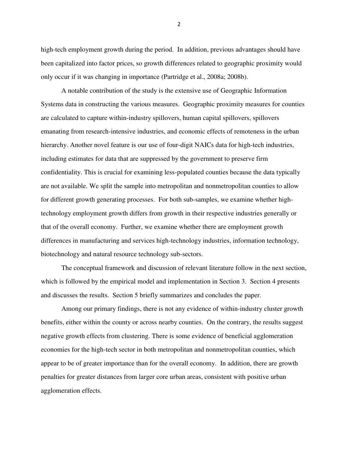high-tech employment growth during the period. In addition, previous advantages should have been capitalized into factor prices, so growth differences related to geographic proximity would only occur if it was changing in importance (Partridge et al., 2008a; 2008b).

A notable contribution of the study is the extensive use of Geographic Information Systems data in constructing the various measures. Geographic proximity measures for counties are calculated to capture within-industry spillovers, human capital spillovers, spillovers emanating from research-intensive industries, and economic effects of remoteness in the urban hierarchy. Another novel feature is our use of four-digit NAICs data for high-tech industries, including estimates for data that are suppressed by the government to preserve firm confidentiality. This is crucial for examining less-populated counties because the data typically are not available. We split the sample into metropolitan and nonmetropolitan counties to allow for different growth generating processes. For both sub-samples, we examine whether hightechnology employment growth differs from growth in their respective industries generally or that of the overall economy. Further, we examine whether there are employment growth differences in manufacturing and services high-technology industries, information technology, biotechnology and natural resource technology sub-sectors.

The conceptual framework and discussion of relevant literature follow in the next section, which is followed by the empirical model and implementation in Section 3. Section 4 presents and discusses the results. Section 5 briefly summarizes and concludes the paper.

Among our primary findings, there is not any evidence of within-industry cluster growth benefits, either within the county or across nearby counties. On the contrary, the results suggest negative growth effects from clustering. There is some evidence of beneficial agglomeration economies for the high-tech sector in both metropolitan and nonmetropolitan counties, which appear to be of greater importance than for the overall economy. In addition, there are growth penalties for greater distances from larger core urban areas, consistent with positive urban agglomeration effects.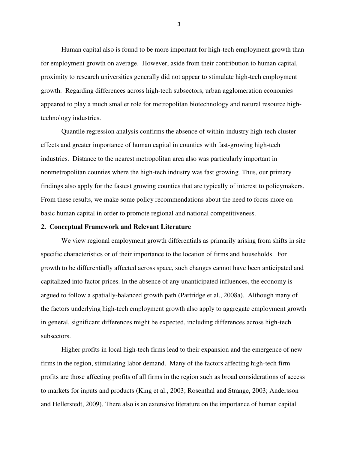Human capital also is found to be more important for high-tech employment growth than for employment growth on average. However, aside from their contribution to human capital, proximity to research universities generally did not appear to stimulate high-tech employment growth. Regarding differences across high-tech subsectors, urban agglomeration economies appeared to play a much smaller role for metropolitan biotechnology and natural resource hightechnology industries.

Quantile regression analysis confirms the absence of within-industry high-tech cluster effects and greater importance of human capital in counties with fast-growing high-tech industries. Distance to the nearest metropolitan area also was particularly important in nonmetropolitan counties where the high-tech industry was fast growing. Thus, our primary findings also apply for the fastest growing counties that are typically of interest to policymakers. From these results, we make some policy recommendations about the need to focus more on basic human capital in order to promote regional and national competitiveness.

#### **2. Conceptual Framework and Relevant Literature**

We view regional employment growth differentials as primarily arising from shifts in site specific characteristics or of their importance to the location of firms and households. For growth to be differentially affected across space, such changes cannot have been anticipated and capitalized into factor prices. In the absence of any unanticipated influences, the economy is argued to follow a spatially-balanced growth path (Partridge et al., 2008a). Although many of the factors underlying high-tech employment growth also apply to aggregate employment growth in general, significant differences might be expected, including differences across high-tech subsectors.

 Higher profits in local high-tech firms lead to their expansion and the emergence of new firms in the region, stimulating labor demand. Many of the factors affecting high-tech firm profits are those affecting profits of all firms in the region such as broad considerations of access to markets for inputs and products (King et al., 2003; Rosenthal and Strange, 2003; Andersson and Hellerstedt, 2009). There also is an extensive literature on the importance of human capital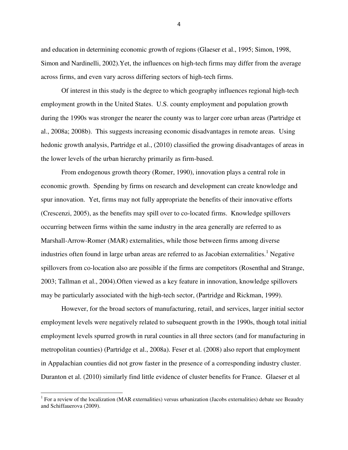and education in determining economic growth of regions (Glaeser et al., 1995; Simon, 1998, Simon and Nardinelli, 2002).Yet, the influences on high-tech firms may differ from the average across firms, and even vary across differing sectors of high-tech firms.

 Of interest in this study is the degree to which geography influences regional high-tech employment growth in the United States. U.S. county employment and population growth during the 1990s was stronger the nearer the county was to larger core urban areas (Partridge et al., 2008a; 2008b). This suggests increasing economic disadvantages in remote areas. Using hedonic growth analysis, Partridge et al., (2010) classified the growing disadvantages of areas in the lower levels of the urban hierarchy primarily as firm-based.

From endogenous growth theory (Romer, 1990), innovation plays a central role in economic growth. Spending by firms on research and development can create knowledge and spur innovation. Yet, firms may not fully appropriate the benefits of their innovative efforts (Crescenzi, 2005), as the benefits may spill over to co-located firms. Knowledge spillovers occurring between firms within the same industry in the area generally are referred to as Marshall-Arrow-Romer (MAR) externalities, while those between firms among diverse industries often found in large urban areas are referred to as Jacobian externalities.<sup>1</sup> Negative spillovers from co-location also are possible if the firms are competitors (Rosenthal and Strange, 2003; Tallman et al., 2004).Often viewed as a key feature in innovation, knowledge spillovers may be particularly associated with the high-tech sector, (Partridge and Rickman, 1999).

However, for the broad sectors of manufacturing, retail, and services, larger initial sector employment levels were negatively related to subsequent growth in the 1990s, though total initial employment levels spurred growth in rural counties in all three sectors (and for manufacturing in metropolitan counties) (Partridge et al., 2008a). Feser et al. (2008) also report that employment in Appalachian counties did not grow faster in the presence of a corresponding industry cluster. Duranton et al. (2010) similarly find little evidence of cluster benefits for France. Glaeser et al

l

<sup>&</sup>lt;sup>1</sup> For a review of the localization (MAR externalities) versus urbanization (Jacobs externalities) debate see Beaudry and Schiffauerova (2009).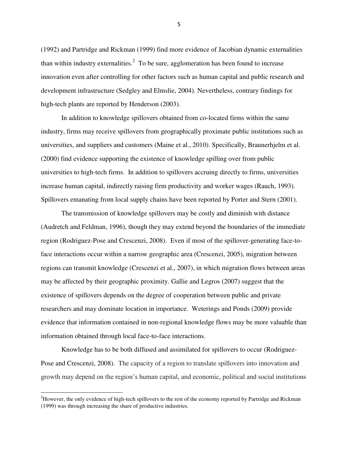(1992) and Partridge and Rickman (1999) find more evidence of Jacobian dynamic externalities than within industry externalities.<sup>2</sup> To be sure, agglomeration has been found to increase innovation even after controlling for other factors such as human capital and public research and development infrastructure (Sedgley and Elmslie, 2004). Nevertheless, contrary findings for high-tech plants are reported by Henderson (2003).

In addition to knowledge spillovers obtained from co-located firms within the same industry, firms may receive spillovers from geographically proximate public institutions such as universities, and suppliers and customers (Maine et al., 2010). Specifically, Braunerhjelm et al. (2000) find evidence supporting the existence of knowledge spilling over from public universities to high-tech firms. In addition to spillovers accruing directly to firms, universities increase human capital, indirectly raising firm productivity and worker wages (Rauch, 1993). Spillovers emanating from local supply chains have been reported by Porter and Stern (2001).

The transmission of knowledge spillovers may be costly and diminish with distance (Audretch and Feldman, 1996), though they may extend beyond the boundaries of the immediate region (Rodriguez-Pose and Crescenzi, 2008). Even if most of the spillover-generating face-toface interactions occur within a narrow geographic area (Crescenzi, 2005), migration between regions can transmit knowledge (Crescenzi et al., 2007), in which migration flows between areas may be affected by their geographic proximity. Gallie and Legros (2007) suggest that the existence of spillovers depends on the degree of cooperation between public and private researchers and may dominate location in importance. Weterings and Ponds (2009) provide evidence that information contained in non-regional knowledge flows may be more valuable than information obtained through local face-to-face interactions.

Knowledge has to be both diffused and assimilated for spillovers to occur (Rodriguez-Pose and Crescenzi, 2008). The capacity of a region to translate spillovers into innovation and growth may depend on the region's human capital, and economic, political and social institutions

 $\overline{a}$ 

<sup>&</sup>lt;sup>2</sup>However, the only evidence of high-tech spillovers to the rest of the economy reported by Partridge and Rickman (1999) was through increasing the share of productive industries.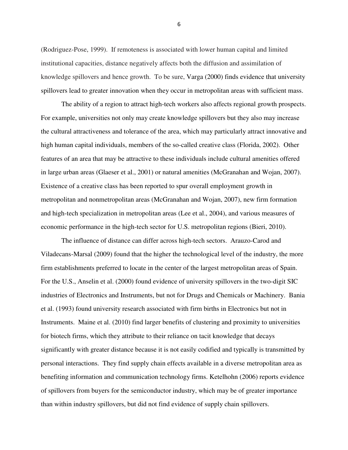(Rodriguez-Pose, 1999). If remoteness is associated with lower human capital and limited institutional capacities, distance negatively affects both the diffusion and assimilation of knowledge spillovers and hence growth. To be sure, Varga (2000) finds evidence that university spillovers lead to greater innovation when they occur in metropolitan areas with sufficient mass.

 The ability of a region to attract high-tech workers also affects regional growth prospects. For example, universities not only may create knowledge spillovers but they also may increase the cultural attractiveness and tolerance of the area, which may particularly attract innovative and high human capital individuals, members of the so-called creative class (Florida, 2002). Other features of an area that may be attractive to these individuals include cultural amenities offered in large urban areas (Glaeser et al., 2001) or natural amenities (McGranahan and Wojan, 2007). Existence of a creative class has been reported to spur overall employment growth in metropolitan and nonmetropolitan areas (McGranahan and Wojan, 2007), new firm formation and high-tech specialization in metropolitan areas (Lee et al., 2004), and various measures of economic performance in the high-tech sector for U.S. metropolitan regions (Bieri, 2010).

The influence of distance can differ across high-tech sectors. Arauzo-Carod and Viladecans-Marsal (2009) found that the higher the technological level of the industry, the more firm establishments preferred to locate in the center of the largest metropolitan areas of Spain. For the U.S., Anselin et al. (2000) found evidence of university spillovers in the two-digit SIC industries of Electronics and Instruments, but not for Drugs and Chemicals or Machinery. Bania et al. (1993) found university research associated with firm births in Electronics but not in Instruments. Maine et al. (2010) find larger benefits of clustering and proximity to universities for biotech firms, which they attribute to their reliance on tacit knowledge that decays significantly with greater distance because it is not easily codified and typically is transmitted by personal interactions. They find supply chain effects available in a diverse metropolitan area as benefiting information and communication technology firms. Ketelhohn (2006) reports evidence of spillovers from buyers for the semiconductor industry, which may be of greater importance than within industry spillovers, but did not find evidence of supply chain spillovers.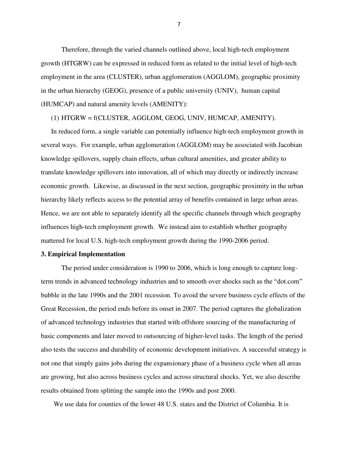Therefore, through the varied channels outlined above, local high-tech employment growth (HTGRW) can be expressed in reduced form as related to the initial level of high-tech employment in the area (CLUSTER), urban agglomeration (AGGLOM), geographic proximity in the urban hierarchy (GEOG), presence of a public university (UNIV), human capital (HUMCAP) and natural amenity levels (AMENITY):

(1) HTGRW = f(CLUSTER, AGGLOM, GEOG, UNIV, HUMCAP, AMENITY).

In reduced form, a single variable can potentially influence high-tech employment growth in several ways. For example, urban agglomeration (AGGLOM) may be associated with Jacobian knowledge spillovers, supply chain effects, urban cultural amenities, and greater ability to translate knowledge spillovers into innovation, all of which may directly or indirectly increase economic growth. Likewise, as discussed in the next section, geographic proximity in the urban hierarchy likely reflects access to the potential array of benefits contained in large urban areas. Hence, we are not able to separately identify all the specific channels through which geography influences high-tech employment growth. We instead aim to establish whether geography mattered for local U.S. high-tech employment growth during the 1990-2006 period.

# **3. Empirical Implementation**

The period under consideration is 1990 to 2006, which is long enough to capture longterm trends in advanced technology industries and to smooth over shocks such as the "dot.com" bubble in the late 1990s and the 2001 recession. To avoid the severe business cycle effects of the Great Recession, the period ends before its onset in 2007. The period captures the globalization of advanced technology industries that started with offshore sourcing of the manufacturing of basic components and later moved to outsourcing of higher-level tasks. The length of the period also tests the success and durability of economic development initiatives. A successful strategy is not one that simply gains jobs during the expansionary phase of a business cycle when all areas are growing, but also across business cycles and across structural shocks. Yet, we also describe results obtained from splitting the sample into the 1990s and post 2000.

We use data for counties of the lower 48 U.S. states and the District of Columbia. It is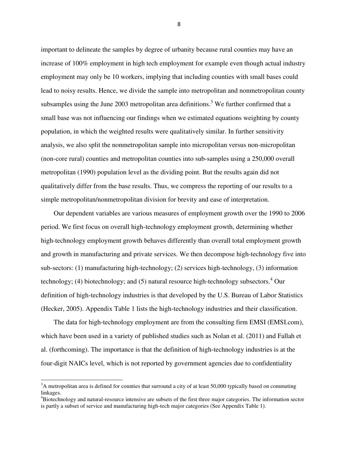important to delineate the samples by degree of urbanity because rural counties may have an increase of 100% employment in high tech employment for example even though actual industry employment may only be 10 workers, implying that including counties with small bases could lead to noisy results. Hence, we divide the sample into metropolitan and nonmetropolitan county subsamples using the June 2003 metropolitan area definitions.<sup>3</sup> We further confirmed that a small base was not influencing our findings when we estimated equations weighting by county population, in which the weighted results were qualitatively similar. In further sensitivity analysis, we also split the nonmetropolitan sample into micropolitan versus non-micropolitan (non-core rural) counties and metropolitan counties into sub-samples using a 250,000 overall metropolitan (1990) population level as the dividing point. But the results again did not qualitatively differ from the base results. Thus, we compress the reporting of our results to a simple metropolitan/nonmetropolitan division for brevity and ease of interpretation.

 Our dependent variables are various measures of employment growth over the 1990 to 2006 period. We first focus on overall high-technology employment growth, determining whether high-technology employment growth behaves differently than overall total employment growth and growth in manufacturing and private services. We then decompose high-technology five into sub-sectors: (1) manufacturing high-technology; (2) services high-technology, (3) information technology; (4) biotechnology; and (5) natural resource high-technology subsectors.<sup>4</sup> Our definition of high-technology industries is that developed by the U.S. Bureau of Labor Statistics (Hecker, 2005). Appendix Table 1 lists the high-technology industries and their classification.

 The data for high-technology employment are from the consulting firm EMSI (EMSI.com), which have been used in a variety of published studies such as Nolan et al. (2011) and Fallah et al. (forthcoming). The importance is that the definition of high-technology industries is at the four-digit NAICs level, which is not reported by government agencies due to confidentiality

l

<sup>&</sup>lt;sup>3</sup>A metropolitan area is defined for counties that surround a city of at least 50,000 typically based on commuting linkages.

<sup>4</sup>Biotechnology and natural-resource intensive are subsets of the first three major categories. The information sector is partly a subset of service and manufacturing high-tech major categories (See Appendix Table 1).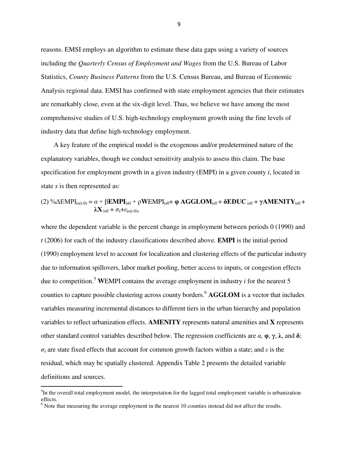reasons. EMSI employs an algorithm to estimate these data gaps using a variety of sources including the *Quarterly Census of Employment and Wages* from the U.S. Bureau of Labor Statistics, *County Business Patterns* from the U.S. Census Bureau, and Bureau of Economic Analysis regional data. EMSI has confirmed with state employment agencies that their estimates are remarkably close, even at the six-digit level. Thus, we believe we have among the most comprehensive studies of U.S. high-technology employment growth using the fine levels of industry data that define high-technology employment.

 A key feature of the empirical model is the exogenous and/or predetermined nature of the explanatory variables, though we conduct sensitivity analysis to assess this claim. The base specification for employment growth in a given industry (EMPI) in a given county *i*, located in state *s* is then represented as:

(2) %
$$
\Delta EMPI_{is(t-0)} = \alpha + \beta EMPI_{is0} + \rho WEMPI_{is0} + \phi AGGLOM_{is0} + \delta EDUC_{is0} + \gamma AMENTY_{is0} + \lambda X_{is0} + \sigma_s + \varepsilon_{is(t-0)},
$$

where the dependent variable is the percent change in employment between periods 0 (1990) and *t* (2006) for each of the industry classifications described above. **EMPI** is the initial-period (1990) employment level to account for localization and clustering effects of the particular industry due to information spillovers, labor market pooling, better access to inputs, or congestion effects due to competition.<sup>5</sup> WEMPI contains the average employment in industry  $i$  for the nearest 5 counties to capture possible clustering across county borders.<sup>6</sup> **AGGLOM** is a vector that includes variables measuring incremental distances to different tiers in the urban hierarchy and population variables to reflect urbanization effects. **AMENITY** represents natural amenities and **X** represents other standard control variables described below. The regression coefficients are *α,* **φ**, **γ**, **λ**, and **δ**; *σs* are state fixed effects that account for common growth factors within a state; and *ε* is the residual, which may be spatially clustered. Appendix Table 2 presents the detailed variable definitions and sources.

l

<sup>&</sup>lt;sup>5</sup>In the overall total employment model, the interpretation for the lagged total employment variable is urbanization effects.

 $<sup>6</sup>$  Note that measuring the average employment in the nearest 10 counties instead did not affect the results.</sup>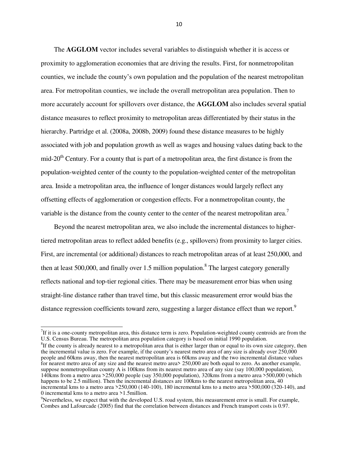The **AGGLOM** vector includes several variables to distinguish whether it is access or proximity to agglomeration economies that are driving the results. First, for nonmetropolitan counties, we include the county's own population and the population of the nearest metropolitan area. For metropolitan counties, we include the overall metropolitan area population. Then to more accurately account for spillovers over distance, the **AGGLOM** also includes several spatial distance measures to reflect proximity to metropolitan areas differentiated by their status in the hierarchy. Partridge et al. (2008a, 2008b, 2009) found these distance measures to be highly associated with job and population growth as well as wages and housing values dating back to the mid-20<sup>th</sup> Century. For a county that is part of a metropolitan area, the first distance is from the population-weighted center of the county to the population-weighted center of the metropolitan area. Inside a metropolitan area, the influence of longer distances would largely reflect any offsetting effects of agglomeration or congestion effects. For a nonmetropolitan county, the variable is the distance from the county center to the center of the nearest metropolitan area.<sup>7</sup>

Beyond the nearest metropolitan area, we also include the incremental distances to highertiered metropolitan areas to reflect added benefits (e.g., spillovers) from proximity to larger cities. First, are incremental (or additional) distances to reach metropolitan areas of at least 250,000, and then at least 500,000, and finally over 1.5 million population.<sup>8</sup> The largest category generally reflects national and top-tier regional cities. There may be measurement error bias when using straight-line distance rather than travel time, but this classic measurement error would bias the distance regression coefficients toward zero, suggesting a larger distance effect than we report.<sup>9</sup>

 $\overline{a}$ 

 $7$ If it is a one-county metropolitan area, this distance term is zero. Population-weighted county centroids are from the U.S. Census Bureau. The metropolitan area population category is based on initial 1990 population.

 ${}^{8}$ If the county is already nearest to a metropolitan area that is either larger than or equal to its own size category, then the incremental value is zero. For example, if the county's nearest metro area of any size is already over 250,000 people and 60kms away, then the nearest metropolitan area is 60kms away and the two incremental distance values for nearest metro area of any size and the nearest metro area> 250,000 are both equal to zero. As another example, suppose nonmetropolitan county A is 100kms from its nearest metro area of any size (say 100,000 population), 140kms from a metro area >250,000 people (say 350,000 population), 320kms from a metro area >500,000 (which happens to be 2.5 million). Then the incremental distances are 100kms to the nearest metropolitan area, 40 incremental kms to a metro area >250,000 (140-100), 180 incremental kms to a metro area >500,000 (320-140), and 0 incremental kms to a metro area >1.5million.

 $\degree$ Nevertheless, we expect that with the developed U.S. road system, this measurement error is small. For example, Combes and Lafourcade (2005) find that the correlation between distances and French transport costs is 0.97.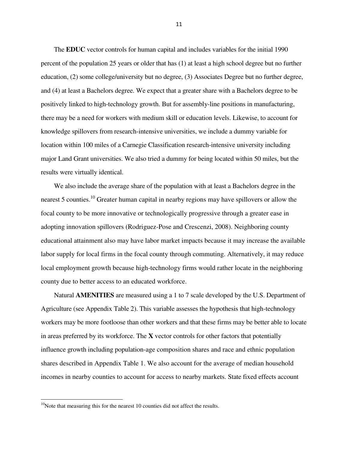The **EDUC** vector controls for human capital and includes variables for the initial 1990 percent of the population 25 years or older that has (1) at least a high school degree but no further education, (2) some college/university but no degree, (3) Associates Degree but no further degree, and (4) at least a Bachelors degree. We expect that a greater share with a Bachelors degree to be positively linked to high-technology growth. But for assembly-line positions in manufacturing, there may be a need for workers with medium skill or education levels. Likewise, to account for knowledge spillovers from research-intensive universities, we include a dummy variable for location within 100 miles of a Carnegie Classification research-intensive university including major Land Grant universities. We also tried a dummy for being located within 50 miles, but the results were virtually identical.

We also include the average share of the population with at least a Bachelors degree in the nearest 5 counties.<sup>10</sup> Greater human capital in nearby regions may have spillovers or allow the focal county to be more innovative or technologically progressive through a greater ease in adopting innovation spillovers (Rodriguez-Pose and Crescenzi, 2008). Neighboring county educational attainment also may have labor market impacts because it may increase the available labor supply for local firms in the focal county through commuting. Alternatively, it may reduce local employment growth because high-technology firms would rather locate in the neighboring county due to better access to an educated workforce.

Natural **AMENITIES** are measured using a 1 to 7 scale developed by the U.S. Department of Agriculture (see Appendix Table 2). This variable assesses the hypothesis that high-technology workers may be more footloose than other workers and that these firms may be better able to locate in areas preferred by its workforce. The **X** vector controls for other factors that potentially influence growth including population-age composition shares and race and ethnic population shares described in Appendix Table 1. We also account for the average of median household incomes in nearby counties to account for access to nearby markets. State fixed effects account

l

 $10$ Note that measuring this for the nearest 10 counties did not affect the results.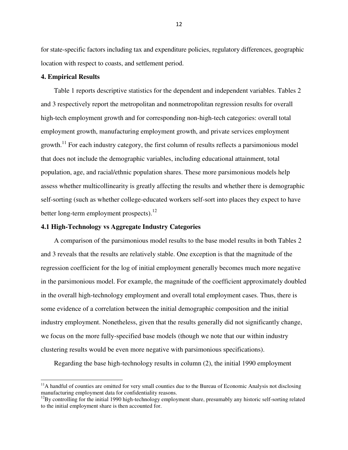for state-specific factors including tax and expenditure policies, regulatory differences, geographic location with respect to coasts, and settlement period.

## **4. Empirical Results**

l

Table 1 reports descriptive statistics for the dependent and independent variables. Tables 2 and 3 respectively report the metropolitan and nonmetropolitan regression results for overall high-tech employment growth and for corresponding non-high-tech categories: overall total employment growth, manufacturing employment growth, and private services employment growth.<sup>11</sup> For each industry category, the first column of results reflects a parsimonious model that does not include the demographic variables, including educational attainment, total population, age, and racial/ethnic population shares. These more parsimonious models help assess whether multicollinearity is greatly affecting the results and whether there is demographic self-sorting (such as whether college-educated workers self-sort into places they expect to have better long-term employment prospects).<sup>12</sup>

## **4.1 High-Technology vs Aggregate Industry Categories**

A comparison of the parsimonious model results to the base model results in both Tables 2 and 3 reveals that the results are relatively stable. One exception is that the magnitude of the regression coefficient for the log of initial employment generally becomes much more negative in the parsimonious model. For example, the magnitude of the coefficient approximately doubled in the overall high-technology employment and overall total employment cases. Thus, there is some evidence of a correlation between the initial demographic composition and the initial industry employment. Nonetheless, given that the results generally did not significantly change, we focus on the more fully-specified base models (though we note that our within industry clustering results would be even more negative with parsimonious specifications).

Regarding the base high-technology results in column (2), the initial 1990 employment

 $<sup>11</sup>A$  handful of counties are omitted for very small counties due to the Bureau of Economic Analysis not disclosing</sup> manufacturing employment data for confidentiality reasons.

<sup>&</sup>lt;sup>12</sup>By controlling for the initial 1990 high-technology employment share, presumably any historic self-sorting related to the initial employment share is then accounted for.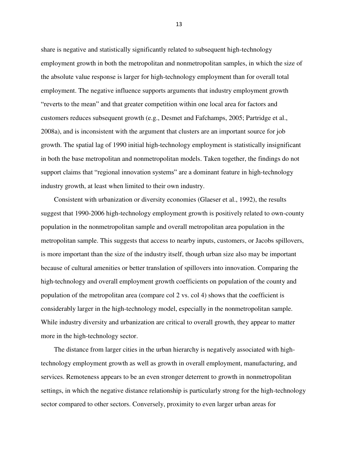share is negative and statistically significantly related to subsequent high-technology employment growth in both the metropolitan and nonmetropolitan samples, in which the size of the absolute value response is larger for high-technology employment than for overall total employment. The negative influence supports arguments that industry employment growth "reverts to the mean" and that greater competition within one local area for factors and customers reduces subsequent growth (e.g., Desmet and Fafchamps, 2005; Partridge et al., 2008a), and is inconsistent with the argument that clusters are an important source for job growth. The spatial lag of 1990 initial high-technology employment is statistically insignificant in both the base metropolitan and nonmetropolitan models. Taken together, the findings do not support claims that "regional innovation systems" are a dominant feature in high-technology industry growth, at least when limited to their own industry.

Consistent with urbanization or diversity economies (Glaeser et al., 1992), the results suggest that 1990-2006 high-technology employment growth is positively related to own-county population in the nonmetropolitan sample and overall metropolitan area population in the metropolitan sample. This suggests that access to nearby inputs, customers, or Jacobs spillovers, is more important than the size of the industry itself, though urban size also may be important because of cultural amenities or better translation of spillovers into innovation. Comparing the high-technology and overall employment growth coefficients on population of the county and population of the metropolitan area (compare col 2 vs. col 4) shows that the coefficient is considerably larger in the high-technology model, especially in the nonmetropolitan sample. While industry diversity and urbanization are critical to overall growth, they appear to matter more in the high-technology sector.

The distance from larger cities in the urban hierarchy is negatively associated with hightechnology employment growth as well as growth in overall employment, manufacturing, and services. Remoteness appears to be an even stronger deterrent to growth in nonmetropolitan settings, in which the negative distance relationship is particularly strong for the high-technology sector compared to other sectors. Conversely, proximity to even larger urban areas for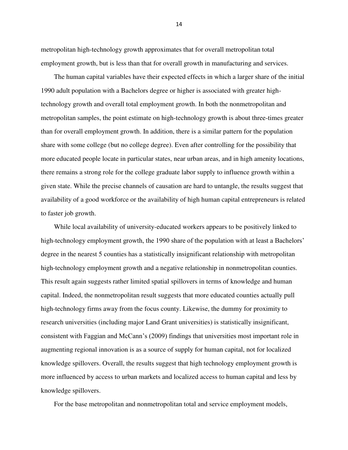metropolitan high-technology growth approximates that for overall metropolitan total employment growth, but is less than that for overall growth in manufacturing and services.

The human capital variables have their expected effects in which a larger share of the initial 1990 adult population with a Bachelors degree or higher is associated with greater hightechnology growth and overall total employment growth. In both the nonmetropolitan and metropolitan samples, the point estimate on high-technology growth is about three-times greater than for overall employment growth. In addition, there is a similar pattern for the population share with some college (but no college degree). Even after controlling for the possibility that more educated people locate in particular states, near urban areas, and in high amenity locations, there remains a strong role for the college graduate labor supply to influence growth within a given state. While the precise channels of causation are hard to untangle, the results suggest that availability of a good workforce or the availability of high human capital entrepreneurs is related to faster job growth.

While local availability of university-educated workers appears to be positively linked to high-technology employment growth, the 1990 share of the population with at least a Bachelors' degree in the nearest 5 counties has a statistically insignificant relationship with metropolitan high-technology employment growth and a negative relationship in nonmetropolitan counties. This result again suggests rather limited spatial spillovers in terms of knowledge and human capital. Indeed, the nonmetropolitan result suggests that more educated counties actually pull high-technology firms away from the focus county. Likewise, the dummy for proximity to research universities (including major Land Grant universities) is statistically insignificant, consistent with Faggian and McCann's (2009) findings that universities most important role in augmenting regional innovation is as a source of supply for human capital, not for localized knowledge spillovers. Overall, the results suggest that high technology employment growth is more influenced by access to urban markets and localized access to human capital and less by knowledge spillovers.

For the base metropolitan and nonmetropolitan total and service employment models,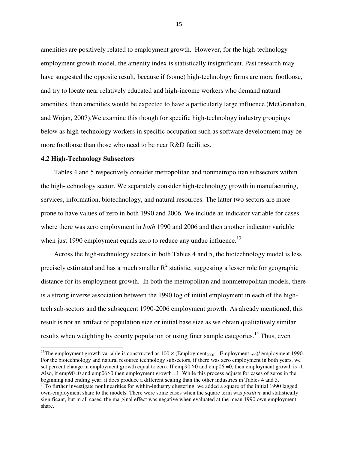amenities are positively related to employment growth. However, for the high-technology employment growth model, the amenity index is statistically insignificant. Past research may have suggested the opposite result, because if (some) high-technology firms are more footloose, and try to locate near relatively educated and high-income workers who demand natural amenities, then amenities would be expected to have a particularly large influence (McGranahan, and Wojan, 2007).We examine this though for specific high-technology industry groupings below as high-technology workers in specific occupation such as software development may be more footloose than those who need to be near R&D facilities.

#### **4.2 High-Technology Subsectors**

l

Tables 4 and 5 respectively consider metropolitan and nonmetropolitan subsectors within the high-technology sector. We separately consider high-technology growth in manufacturing, services, information, biotechnology, and natural resources. The latter two sectors are more prone to have values of zero in both 1990 and 2006. We include an indicator variable for cases where there was zero employment in *both* 1990 and 2006 and then another indicator variable when just 1990 employment equals zero to reduce any undue influence.<sup>13</sup>

Across the high-technology sectors in both Tables 4 and 5, the biotechnology model is less precisely estimated and has a much smaller  $R^2$  statistic, suggesting a lesser role for geographic distance for its employment growth. In both the metropolitan and nonmetropolitan models, there is a strong inverse association between the 1990 log of initial employment in each of the hightech sub-sectors and the subsequent 1990-2006 employment growth. As already mentioned, this result is not an artifact of population size or initial base size as we obtain qualitatively similar results when weighting by county population or using finer sample categories.<sup>14</sup> Thus, even

<sup>&</sup>lt;sup>13</sup>The employment growth variable is constructed as  $100 \times (Employment_{2006} - Employment_{1990})/$  employment 1990. For the biotechnology and natural resource technology subsectors, if there was zero employment in both years, we set percent change in employment growth equal to zero. If emp90 >0 and emp06 =0, then employment growth is -1. Also, if emp90=0 and emp06>0 then employment growth =1. While this process adjusts for cases of zeros in the beginning and ending year, it does produce a different scaling than the other industries in Tables 4 and 5.

 $14$ To further investigate nonlinearities for within-industry clustering, we added a square of the initial 1990 lagged own-employment share to the models. There were some cases when the square term was *positive* and statistically significant, but in all cases, the marginal effect was negative when evaluated at the mean 1990 own employment share.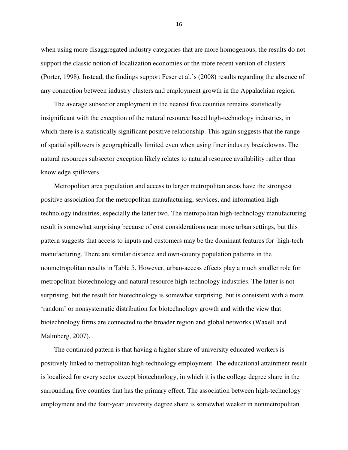when using more disaggregated industry categories that are more homogenous, the results do not support the classic notion of localization economies or the more recent version of clusters (Porter, 1998). Instead, the findings support Feser et al.'s (2008) results regarding the absence of any connection between industry clusters and employment growth in the Appalachian region.

The average subsector employment in the nearest five counties remains statistically insignificant with the exception of the natural resource based high-technology industries, in which there is a statistically significant positive relationship. This again suggests that the range of spatial spillovers is geographically limited even when using finer industry breakdowns. The natural resources subsector exception likely relates to natural resource availability rather than knowledge spillovers.

Metropolitan area population and access to larger metropolitan areas have the strongest positive association for the metropolitan manufacturing, services, and information hightechnology industries, especially the latter two. The metropolitan high-technology manufacturing result is somewhat surprising because of cost considerations near more urban settings, but this pattern suggests that access to inputs and customers may be the dominant features for high-tech manufacturing. There are similar distance and own-county population patterns in the nonmetropolitan results in Table 5. However, urban-access effects play a much smaller role for metropolitan biotechnology and natural resource high-technology industries. The latter is not surprising, but the result for biotechnology is somewhat surprising, but is consistent with a more ‗random' or nonsystematic distribution for biotechnology growth and with the view that biotechnology firms are connected to the broader region and global networks (Waxell and Malmberg, 2007).

The continued pattern is that having a higher share of university educated workers is positively linked to metropolitan high-technology employment. The educational attainment result is localized for every sector except biotechnology, in which it is the college degree share in the surrounding five counties that has the primary effect. The association between high-technology employment and the four-year university degree share is somewhat weaker in nonmetropolitan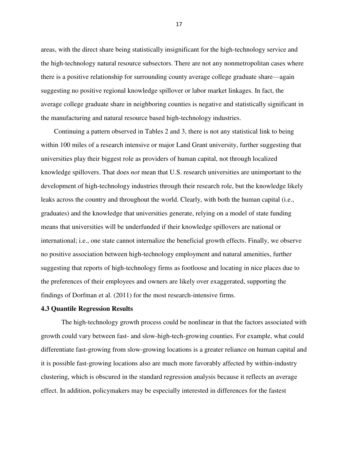areas, with the direct share being statistically insignificant for the high-technology service and the high-technology natural resource subsectors. There are not any nonmetropolitan cases where there is a positive relationship for surrounding county average college graduate share—again suggesting no positive regional knowledge spillover or labor market linkages. In fact, the average college graduate share in neighboring counties is negative and statistically significant in the manufacturing and natural resource based high-technology industries.

Continuing a pattern observed in Tables 2 and 3, there is not any statistical link to being within 100 miles of a research intensive or major Land Grant university, further suggesting that universities play their biggest role as providers of human capital, not through localized knowledge spillovers. That does *not* mean that U.S. research universities are unimportant to the development of high-technology industries through their research role, but the knowledge likely leaks across the country and throughout the world. Clearly, with both the human capital (i.e., graduates) and the knowledge that universities generate, relying on a model of state funding means that universities will be underfunded if their knowledge spillovers are national or international; i.e., one state cannot internalize the beneficial growth effects. Finally, we observe no positive association between high-technology employment and natural amenities, further suggesting that reports of high-technology firms as footloose and locating in nice places due to the preferences of their employees and owners are likely over exaggerated, supporting the findings of Dorfman et al. (2011) for the most research-intensive firms.

#### **4.3 Quantile Regression Results**

 The high-technology growth process could be nonlinear in that the factors associated with growth could vary between fast- and slow-high-tech-growing counties. For example, what could differentiate fast-growing from slow-growing locations is a greater reliance on human capital and it is possible fast-growing locations also are much more favorably affected by within-industry clustering, which is obscured in the standard regression analysis because it reflects an average effect. In addition, policymakers may be especially interested in differences for the fastest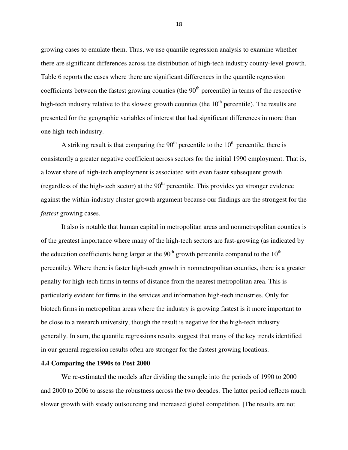growing cases to emulate them. Thus, we use quantile regression analysis to examine whether there are significant differences across the distribution of high-tech industry county-level growth. Table 6 reports the cases where there are significant differences in the quantile regression coefficients between the fastest growing counties (the  $90<sup>th</sup>$  percentile) in terms of the respective high-tech industry relative to the slowest growth counties (the  $10<sup>th</sup>$  percentile). The results are presented for the geographic variables of interest that had significant differences in more than one high-tech industry.

A striking result is that comparing the  $90<sup>th</sup>$  percentile to the  $10<sup>th</sup>$  percentile, there is consistently a greater negative coefficient across sectors for the initial 1990 employment. That is, a lower share of high-tech employment is associated with even faster subsequent growth (regardless of the high-tech sector) at the  $90<sup>th</sup>$  percentile. This provides yet stronger evidence against the within-industry cluster growth argument because our findings are the strongest for the *fastest* growing cases.

It also is notable that human capital in metropolitan areas and nonmetropolitan counties is of the greatest importance where many of the high-tech sectors are fast-growing (as indicated by the education coefficients being larger at the  $90<sup>th</sup>$  growth percentile compared to the  $10<sup>th</sup>$ percentile). Where there is faster high-tech growth in nonmetropolitan counties, there is a greater penalty for high-tech firms in terms of distance from the nearest metropolitan area. This is particularly evident for firms in the services and information high-tech industries. Only for biotech firms in metropolitan areas where the industry is growing fastest is it more important to be close to a research university, though the result is negative for the high-tech industry generally. In sum, the quantile regressions results suggest that many of the key trends identified in our general regression results often are stronger for the fastest growing locations.

#### **4.4 Comparing the 1990s to Post 2000**

We re-estimated the models after dividing the sample into the periods of 1990 to 2000 and 2000 to 2006 to assess the robustness across the two decades. The latter period reflects much slower growth with steady outsourcing and increased global competition. [The results are not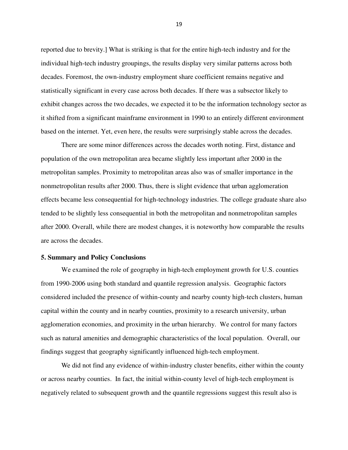reported due to brevity.] What is striking is that for the entire high-tech industry and for the individual high-tech industry groupings, the results display very similar patterns across both decades. Foremost, the own-industry employment share coefficient remains negative and statistically significant in every case across both decades. If there was a subsector likely to exhibit changes across the two decades, we expected it to be the information technology sector as it shifted from a significant mainframe environment in 1990 to an entirely different environment based on the internet. Yet, even here, the results were surprisingly stable across the decades.

There are some minor differences across the decades worth noting. First, distance and population of the own metropolitan area became slightly less important after 2000 in the metropolitan samples. Proximity to metropolitan areas also was of smaller importance in the nonmetropolitan results after 2000. Thus, there is slight evidence that urban agglomeration effects became less consequential for high-technology industries. The college graduate share also tended to be slightly less consequential in both the metropolitan and nonmetropolitan samples after 2000. Overall, while there are modest changes, it is noteworthy how comparable the results are across the decades.

#### **5. Summary and Policy Conclusions**

We examined the role of geography in high-tech employment growth for U.S. counties from 1990-2006 using both standard and quantile regression analysis. Geographic factors considered included the presence of within-county and nearby county high-tech clusters, human capital within the county and in nearby counties, proximity to a research university, urban agglomeration economies, and proximity in the urban hierarchy. We control for many factors such as natural amenities and demographic characteristics of the local population. Overall, our findings suggest that geography significantly influenced high-tech employment.

We did not find any evidence of within-industry cluster benefits, either within the county or across nearby counties. In fact, the initial within-county level of high-tech employment is negatively related to subsequent growth and the quantile regressions suggest this result also is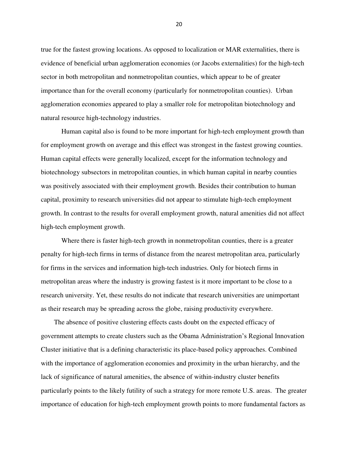true for the fastest growing locations. As opposed to localization or MAR externalities, there is evidence of beneficial urban agglomeration economies (or Jacobs externalities) for the high-tech sector in both metropolitan and nonmetropolitan counties, which appear to be of greater importance than for the overall economy (particularly for nonmetropolitan counties). Urban agglomeration economies appeared to play a smaller role for metropolitan biotechnology and natural resource high-technology industries.

Human capital also is found to be more important for high-tech employment growth than for employment growth on average and this effect was strongest in the fastest growing counties. Human capital effects were generally localized, except for the information technology and biotechnology subsectors in metropolitan counties, in which human capital in nearby counties was positively associated with their employment growth. Besides their contribution to human capital, proximity to research universities did not appear to stimulate high-tech employment growth. In contrast to the results for overall employment growth, natural amenities did not affect high-tech employment growth.

Where there is faster high-tech growth in nonmetropolitan counties, there is a greater penalty for high-tech firms in terms of distance from the nearest metropolitan area, particularly for firms in the services and information high-tech industries. Only for biotech firms in metropolitan areas where the industry is growing fastest is it more important to be close to a research university. Yet, these results do not indicate that research universities are unimportant as their research may be spreading across the globe, raising productivity everywhere.

The absence of positive clustering effects casts doubt on the expected efficacy of government attempts to create clusters such as the Obama Administration's Regional Innovation Cluster initiative that is a defining characteristic its place-based policy approaches. Combined with the importance of agglomeration economies and proximity in the urban hierarchy, and the lack of significance of natural amenities, the absence of within-industry cluster benefits particularly points to the likely futility of such a strategy for more remote U.S. areas. The greater importance of education for high-tech employment growth points to more fundamental factors as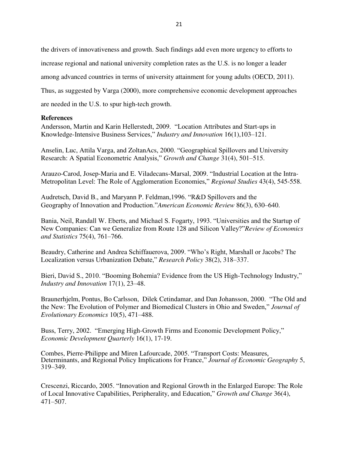the drivers of innovativeness and growth. Such findings add even more urgency to efforts to increase regional and national university completion rates as the U.S. is no longer a leader among advanced countries in terms of university attainment for young adults (OECD, 2011). Thus, as suggested by Varga (2000), more comprehensive economic development approaches are needed in the U.S. to spur high-tech growth.

# **References**

Andersson, Martin and Karin Hellerstedt, 2009. "Location Attributes and Start-ups in Knowledge-Intensive Business Services," *Industry and Innovation* 16(1), 103–121.

Anselin, Luc, Attila Varga, and ZoltanAcs, 2000. "Geographical Spillovers and University Research: A Spatial Econometric Analysis," *Growth and Change* 31(4), 501–515.

Arauzo-Carod, Josep-Maria and E. Viladecans-Marsal, 2009. "Industrial Location at the Intra-Metropolitan Level: The Role of Agglomeration Economies," *Regional Studies* 43(4), 545-558.

Audretsch, David B., and Maryann P. Feldman, 1996. "R&D Spillovers and the Geography of Innovation and Production."*American Economic Review* 86(3), 630–640.

Bania, Neil, Randall W. Eberts, and Michael S. Fogarty, 1993. "Universities and the Startup of New Companies: Can we Generalize from Route 128 and Silicon Valley?"Review of Economics *and Statistics* 75(4), 761–766.

Beaudry, Catherine and Andrea Schiffauerova, 2009. "Who's Right, Marshall or Jacobs? The Localization versus Urbanization Debate,‖ *Research Policy* 38(2), 318–337.

Bieri, David S., 2010. "Booming Bohemia? Evidence from the US High-Technology Industry," *Industry and Innovation* 17(1), 23–48.

Braunerhjelm, Pontus, Bo Carlsson, Dilek Cetindamar, and Dan Johansson, 2000. "The Old and the New: The Evolution of Polymer and Biomedical Clusters in Ohio and Sweden," *Journal of Evolutionary Economics* 10(5), 471–488.

Buss, Terry, 2002. "Emerging High-Growth Firms and Economic Development Policy," *Economic Development Quarterly* 16(1), 17-19.

Combes, Pierre-Philippe and Miren Lafourcade, 2005. "Transport Costs: Measures, Determinants, and Regional Policy Implications for France," *Journal of Economic Geography* 5, 319–349.

Crescenzi, Riccardo, 2005. "Innovation and Regional Growth in the Enlarged Europe: The Role of Local Innovative Capabilities, Peripherality, and Education," *Growth and Change* 36(4), 471–507.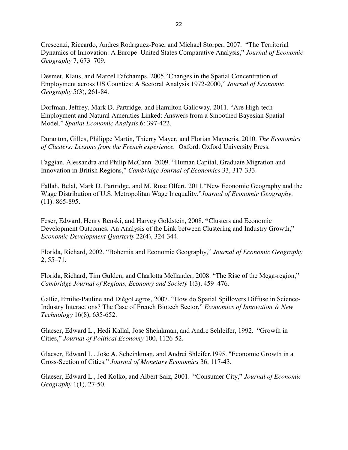Crescenzi, Riccardo, Andres Rodriguez-Pose, and Michael Storper, 2007. "The Territorial Dynamics of Innovation: A Europe–United States Comparative Analysis," *Journal of Economic Geography* 7, 673–709.

Desmet, Klaus, and Marcel Fafchamps, 2005. "Changes in the Spatial Concentration of Employment across US Counties: A Sectoral Analysis 1972-2000," *Journal of Economic Geography* 5(3), 261-84.

Dorfman, Jeffrey, Mark D. Partridge, and Hamilton Galloway, 2011. "Are High-tech Employment and Natural Amenities Linked: Answers from a Smoothed Bayesian Spatial Model.‖ *Spatial Economic Analysis* 6: 397-422.

Duranton, Gilles, Philippe Martin, Thierry Mayer, and Florian Mayneris, 2010. *The Economics of Clusters: Lessons from the French experience.* Oxford: Oxford University Press.

Faggian, Alessandra and Philip McCann. 2009. "Human Capital, Graduate Migration and Innovation in British Regions,‖ *Cambridge Journal of Economics* 33, 317-333.

Fallah, Belal, Mark D. Partridge, and M. Rose Olfert, 2011. "New Economic Geography and the Wage Distribution of U.S. Metropolitan Wage Inequality."*Journal of Economic Geography*. (11): 865-895.

Feser, Edward, Henry Renski, and Harvey Goldstein, 2008. **"**Clusters and Economic Development Outcomes: An Analysis of the Link between Clustering and Industry Growth," *Economic Development Quarterly* 22(4), 324-344.

Florida, Richard, 2002. "Bohemia and Economic Geography," *Journal of Economic Geography* 2, 55–71.

Florida, Richard, Tim Gulden, and Charlotta Mellander, 2008. "The Rise of the Mega-region," *Cambridge Journal of Regions, Economy and Society* 1(3), 459–476.

Gallie, Emilie-Pauline and DiègoLegros, 2007. "How do Spatial Spillovers Diffuse in Science-Industry Interactions? The Case of French Biotech Sector," *Economics of Innovation & New Technology* 16(8), 635-652.

Glaeser, Edward L., Hedi Kallal, Jose Sheinkman, and Andre Schleifer, 1992. "Growth in Cities,‖ *Journal of Political Economy* 100, 1126-52.

Glaeser, Edward L., Jośe A. Scheinkman, and Andrei Shleifer,1995. "Economic Growth in a Cross-Section of Cities.‖ *Journal of Monetary Economics* 36, 117-43.

Glaeser, Edward L., Jed Kolko, and Albert Saiz, 2001. "Consumer City," *Journal of Economic Geography* 1(1), 27-50.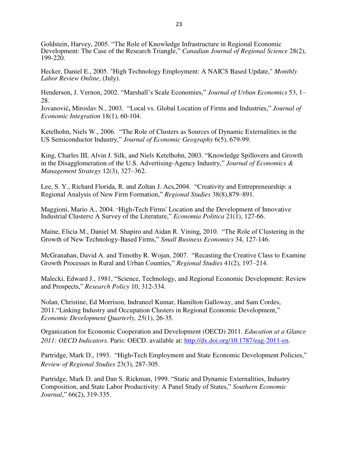Goldstein, Harvey, 2005. "The Role of Knowledge Infrastructure in Regional Economic Development: The Case of the Research Triangle," *Canadian Journal of Regional Science* 28(2), 199-220.

Hecker, Daniel E., 2005. "High Technology Employment: A NAICS Based Update," *Monthly Labor Review Online*, (July).

Henderson, J. Vernon, 2002. "Marshall's Scale Economies," *Journal of Urban Economics* 53, 1– 28.

Jovanović, Miroslav N., 2003. "Local vs. Global Location of Firms and Industries," Journal of *Economic Integration* 18(1), 60-104.

Ketelhohn, Niels W., 2006. "The Role of Clusters as Sources of Dynamic Externalities in the US Semiconductor Industry," *Journal of Economic Geography* 6(5), 679-99.

King, Charles III, Alvin J. Silk, and Niels Ketelhohn, 2003. "Knowledge Spillovers and Growth in the Disagglomeration of the U.S. Advertising-Agency Industry," *Journal of Economics*  $\&$ *Management Strategy* 12(3), 327–362.

Lee, S. Y., Richard Florida, R. and Zoltan J. Acs, 2004. "Creativity and Entrepreneurship: a Regional Analysis of New Firm Formation,‖ *Regional Studies* 38(8),879–891.

Maggioni, Mario A., 2004. "High-Tech Firms' Location and the Development of Innovative Industrial Clusters: A Survey of the Literature," *Economia Politica* 21(1), 127-66.

Maine, Elicia M., Daniel M. Shapiro and Aidan R. Vining, 2010. "The Role of Clustering in the Growth of New Technology-Based Firms," *Small Business Economics* 34, 127-146.

McGranahan, David A. and Timothy R. Wojan, 2007. "Recasting the Creative Class to Examine Growth Processes in Rural and Urban Counties,‖ *Regional Studies* 41(2), 197–214.

Malecki, Edward J., 1981, "Science, Technology, and Regional Economic Development: Review and Prospects,‖ *Research Policy* 10, 312-334.

Nolan, Christine, Ed Morrison, Indraneel Kumar, Hamilton Galloway, and Sam Cordes, 2011. "Linking Industry and Occupation Clusters in Regional Economic Development." *Economic Development Quarterly, 25*(1), 26-35.

Organization for Economic Cooperation and Development (OECD) 2011. *Education at a Glance 2011: OECD Indicators*. Paris: OECD. available at: [http://dx.doi.org/10.1787/eag-2011-en.](http://dx.doi.org/10.1787/eag-2011-en)

Partridge, Mark D., 1993. "High-Tech Employment and State Economic Development Policies," *Review of Regional Studies* 23(3), 287-305.

Partridge, Mark D. and Dan S. Rickman, 1999. "Static and Dynamic Externalities, Industry Composition, and State Labor Productivity: A Panel Study of States," *Southern Economic Journal*," 66(2), 319-335.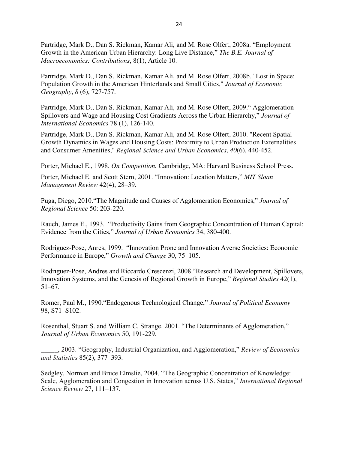Partridge, Mark D., Dan S. Rickman, Kamar Ali, and M. Rose Olfert, 2008a. "Employment Growth in the American Urban Hierarchy: Long Live Distance," The B.E. Journal of *Macroeconomics: Contributions*, 8(1), Article 10.

Partridge, Mark D., Dan S. Rickman, Kamar Ali, and M. Rose Olfert, 2008b. "Lost in Space: Population Growth in the American Hinterlands and Small Cities," *Journal of Economic Geography*, *8* (6), 727-757.

Partridge, Mark D., Dan S. Rickman, Kamar Ali, and M. Rose Olfert, 2009." Agglomeration Spillovers and Wage and Housing Cost Gradients Across the Urban Hierarchy," *Journal of International Economics* 78 (1), 126-140.

Partridge, Mark D., Dan S. Rickman, Kamar Ali, and M. Rose Olfert, 2010. "Recent Spatial Growth Dynamics in Wages and Housing Costs: Proximity to Urban Production Externalities and Consumer Amenities," *Regional Science and Urban Economics*, *40*(6), 440-452.

Porter, Michael E., 1998. *On Competition.* Cambridge, MA: Harvard Business School Press.

Porter, Michael E. and Scott Stern, 2001. "Innovation: Location Matters," MIT Sloan *Management Review* 42(4), 28–39.

Puga, Diego, 2010. "The Magnitude and Causes of Agglomeration Economies," *Journal of Regional Science* 50: 203-220.

Rauch, James E., 1993. "Productivity Gains from Geographic Concentration of Human Capital: Evidence from the Cities,‖ *Journal of Urban Economics* 34, 380-400.

Rodriguez-Pose, Anres, 1999. "Innovation Prone and Innovation Averse Societies: Economic Performance in Europe," *Growth and Change* 30, 75–105.

Rodriguez-Pose, Andres and Riccardo Crescenzi, 2008. "Research and Development, Spillovers, Innovation Systems, and the Genesis of Regional Growth in Europe," *Regional Studies* 42(1), 51–67.

Romer, Paul M., 1990. "Endogenous Technological Change," *Journal of Political Economy* 98, S71–S102.

Rosenthal, Stuart S. and William C. Strange. 2001. "The Determinants of Agglomeration," *Journal of Urban Economics* 50, 191-229.

\_\_\_\_\_, 2003. ―Geography, Industrial Organization, and Agglomeration,‖ *Review of Economics and Statistics* 85(2), 377–393.

Sedgley, Norman and Bruce Elmslie, 2004. "The Geographic Concentration of Knowledge: Scale, Agglomeration and Congestion in Innovation across U.S. States," *International Regional Science Review* 27, 111–137.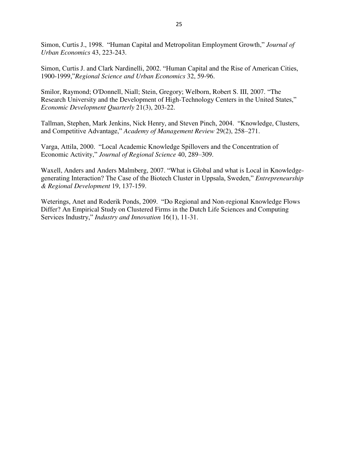Simon, Curtis J., 1998. "Human Capital and Metropolitan Employment Growth," *Journal of Urban Economics* 43, 223-243.

Simon, Curtis J. and Clark Nardinelli, 2002. "Human Capital and the Rise of American Cities, 1900-1999,‖*Regional Science and Urban Economics* 32, 59-96.

Smilor, Raymond; O'Donnell, Niall; Stein, Gregory; Welborn, Robert S. III, 2007. "The Research University and the Development of High-Technology Centers in the United States," *Economic Development Quarterly* 21(3), 203-22.

Tallman, Stephen, Mark Jenkins, Nick Henry, and Steven Pinch, 2004. "Knowledge, Clusters, and Competitive Advantage," *Academy of Management Review* 29(2), 258-271.

Varga, Attila, 2000. "Local Academic Knowledge Spillovers and the Concentration of Economic Activity," *Journal of Regional Science* 40, 289–309.

Waxell, Anders and Anders Malmberg, 2007. "What is Global and what is Local in Knowledgegenerating Interaction? The Case of the Biotech Cluster in Uppsala, Sweden," *Entrepreneurship & Regional Development* 19, 137-159.

Weterings, Anet and Roderik Ponds, 2009. "Do Regional and Non-regional Knowledge Flows Differ? An Empirical Study on Clustered Firms in the Dutch Life Sciences and Computing Services Industry," *Industry and Innovation* 16(1), 11-31.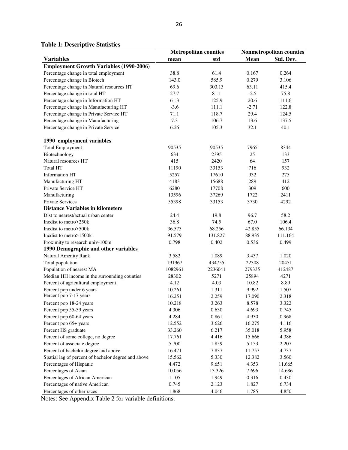**Table 1: Descriptive Statistics**

|                                                     | <b>Metropolitan counties</b> |         |         | Nonmetropolitan counties |
|-----------------------------------------------------|------------------------------|---------|---------|--------------------------|
| <b>Variables</b>                                    | mean                         | std     | Mean    | Std. Dev.                |
| <b>Employment Growth Variables (1990-2006)</b>      |                              |         |         |                          |
| Percentage change in total employment               | 38.8                         | 61.4    | 0.167   | 0.264                    |
| Percentage change in Biotech                        | 143.0                        | 585.9   | 0.279   | 3.106                    |
| Percentage change in Natural resources HT           | 69.6                         | 303.13  | 63.11   | 415.4                    |
| Percentage change in total HT                       | 27.7                         | 81.1    | $-2.5$  | 75.8                     |
| Percentage change in Information HT                 | 61.3                         | 125.9   | 20.6    | 111.6                    |
| Percentage change in Manufacturing HT               | $-3.6$                       | 111.1   | $-2.71$ | 122.8                    |
| Percentage change in Private Service HT             | 71.1                         | 118.7   | 29.4    | 124.5                    |
| Percentage change in Manufacturing                  | 7.3                          | 106.7   | 13.6    | 137.5                    |
| Percentage change in Private Service                | 6.26                         | 105.3   | 32.1    | 40.1                     |
|                                                     |                              |         |         |                          |
| 1990 employment variables                           |                              |         |         |                          |
| <b>Total Employment</b>                             | 90535                        | 90535   | 7965    | 8344                     |
| Biotechnology                                       | 634                          | 2395    | 25      | 133                      |
| Natural resources HT                                | 415                          | 2420    | 64      | 157                      |
| <b>Total HT</b>                                     | 11190                        | 33153   | 716     | 932                      |
| <b>Information HT</b>                               | 5257                         | 17610   | 932     | 275                      |
| Manufacturing HT                                    | 4183                         | 15688   | 289     | 412                      |
| Private Service HT                                  | 6280                         | 17708   | 309     | 600                      |
| Manufacturing                                       | 13596                        | 37269   | 1722    | 2411                     |
| <b>Private Services</b>                             | 55398                        | 33153   | 3730    | 4292                     |
| <b>Distance Variables in kilometers</b>             |                              |         |         |                          |
| Dist to nearest/actual urban center                 | 24.4                         | 19.8    | 96.7    | 58.2                     |
| Inclist to metro>250k                               | 36.8                         | 74.5    | 67.0    | 106.4                    |
| Incolist to metro>500k                              | 36.573                       | 68.256  | 42.855  | 66.134                   |
| Inclist to metro > 1500k                            | 91.579                       | 131.827 | 88.935  | 111.164                  |
| Proximity to research univ-100m                     | 0.798                        | 0.402   | 0.536   | 0.499                    |
| 1990 Demographic and other variables                |                              |         |         |                          |
| Natural Amenity Rank                                | 3.582                        | 1.089   | 3.437   | 1.020                    |
| Total population                                    | 191967                       | 434755  | 22308   | 20451                    |
| Population of nearest MA                            | 1082961                      | 2236041 | 279335  | 412487                   |
| Median HH income in the surrounding counties        | 28302                        | 5271    | 25894   | 4271                     |
| Percent of agricultural employment                  | 4.12                         | 4.03    | 10.82   | 8.89                     |
| Percent pop under 6 years                           | 10.261                       | 1.311   | 9.992   | 1.507                    |
| Percent pop 7-17 years                              | 16.251                       | 2.259   | 17.090  | 2.318                    |
| Percent pop 18-24 years                             | 10.218                       | 3.263   | 8.578   | 3.322                    |
| Percent pop 55-59 years                             | 4.306                        | 0.630   | 4.693   | 0.745                    |
| Percent pop 60-64 years                             | 4.284                        | 0.861   | 4.930   | 0.968                    |
| Percent pop 65+ years                               | 12.552                       | 3.626   | 16.275  | 4.116                    |
| Percent HS graduate                                 | 33.260                       | 6.217   | 35.018  | 5.958                    |
| Percent of some college, no degree                  | 17.761                       | 4.416   | 15.666  | 4.386                    |
| Percent of associate degree                         | 5.700                        | 1.859   | 5.153   | 2.207                    |
| Percent of bachelor degree and above                | 16.471                       | 7.837   | 11.757  | 4.737                    |
| Spatial lag of percent of bachelor degree and above | 15.562                       | 5.330   | 12.382  | 3.560                    |
| Percentages of Hispanic                             | 4.472                        | 9.651   | 4.353   | 11.665                   |
| Percentages of Asian                                | 10.056                       | 13.326  | 7.696   | 14.686                   |
| Percentages of African American                     | 1.105                        | 1.949   | 0.316   | 0.430                    |
| Percentages of native American                      | 0.745                        | 2.123   | 1.827   | 6.734                    |
| Percentages of other races                          | 1.868                        | 4.046   | 1.785   | 4.850                    |

Notes: See Appendix Table 2 for variable definitions.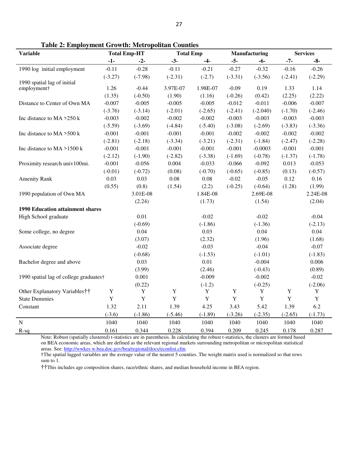| <b>Variable</b>                         | <b>Total Emp-HT</b>   |                       | <b>Total Emp</b>   |                   | Manufacturing         |                       | <b>Services</b> |                    |
|-----------------------------------------|-----------------------|-----------------------|--------------------|-------------------|-----------------------|-----------------------|-----------------|--------------------|
|                                         | $-1-$                 | $-2-$                 | $-3-$              | $-4-$             | $-5-$                 | $-6-$                 | $-7-$           | $-8-$              |
| 1990 log initial employment             | $-0.11$               | $-0.28$               | $-0.11$            | $-0.21$           | $-0.27$               | $-0.32$               | $-0.16$         | $-0.26$            |
|                                         | $(-3.27)$             | $(-7.98)$             | $(-2.31)$          | $(-2.7)$          | $(-3.31)$             | $(-3.56)$             | $(-2.41)$       | $(-2.29)$          |
| 1990 spatial lag of initial             | 1.26                  | $-0.44$               | 3.97E-07           | 1.98E-07          | $-0.09$               | 0.19                  | 1.33            | 1.14               |
| employment†                             | (1.35)                | $(-0.50)$             | (1.90)             | (1.16)            | $(-0.26)$             | (0.42)                | (2.25)          | (2.22)             |
| Distance to Center of Own MA            | $-0.007$              | $-0.005$              | $-0.005$           | $-0.005$          | $-0.012$              | $-0.011$              | $-0.006$        | $-0.007$           |
|                                         |                       |                       |                    |                   |                       |                       |                 |                    |
|                                         | $(-3.76)$             | $(-3.14)$             | $(-2.01)$          | $(-2.65)$         | $(-2.41)$             | $(-2.040)$            | $(-1.70)$       | $(-2.46)$          |
| Inc distance to MA >250 k               | $-0.003$              | $-0.002$              | $-0.002$           | $-0.002$          | $-0.003$              | $-0.003$              | $-0.003$        | $-0.003$           |
| Inc distance to $MA > 500$ k            | $(-5.59)$             | $(-3.69)$             | $(-4.84)$          | $(-5.40)$         | $(-3.08)$             | $(-2.69)$             | $(-3.83)$       | $(-3.36)$          |
|                                         | $-0.001$              | $-0.001$              | $-0.001$           | $-0.001$          | $-0.002$              | $-0.002$              | $-0.002$        | $-0.002$           |
| Inc distance to $MA > 1500$ k           | $(-2.81)$             | $(-2.18)$             | $(-3.34)$          | $(-3.21)$         | $(-2.31)$             | $(-1.84)$             | $(-2.47)$       | $(-2.28)$          |
|                                         | $-0.001$              | $-0.001$              | $-0.001$           | $-0.001$          | $-0.001$              | $-0.0003$             | $-0.001$        | $-0.001$           |
|                                         | $(-2.12)$<br>$-0.001$ | $(-1.90)$<br>$-0.056$ | $(-2.82)$<br>0.004 | $(-3.38)$         | $(-1.69)$<br>$-0.066$ | $(-0.78)$<br>$-0.092$ | $(-1.37)$       | $(-1.78)$          |
| Proximity research univ100mi.           |                       |                       |                    | $-0.033$          |                       |                       | 0.013           | $-0.053$           |
|                                         | $(-0.01)$<br>0.03     | $(-0.72)$<br>0.03     | (0.08)<br>0.08     | $(-0.70)$<br>0.08 | $(-0.65)$<br>$-0.02$  | $(-0.85)$<br>$-0.05$  | (0.13)<br>0.12  | $(-0.57)$<br>0.16  |
| <b>Amenity Rank</b>                     |                       |                       |                    |                   |                       | $(-0.64)$             |                 |                    |
| 1990 population of Own MA               | (0.55)                | (0.8)<br>3.01E-08     | (1.54)             | (2.2)<br>1.84E-08 | $(-0.25)$             | 2.69E-08              | (1.28)          | (1.99)<br>2.24E-08 |
|                                         |                       | (2.24)                |                    | (1.73)            |                       | (1.54)                |                 | (2.04)             |
| <b>1990 Education attainment shares</b> |                       |                       |                    |                   |                       |                       |                 |                    |
| High School graduate                    |                       | 0.01                  |                    | $-0.02$           |                       | $-0.02$               |                 | $-0.04$            |
|                                         |                       | $(-0.69)$             |                    | $(-1.86)$         |                       | $(-1.36)$             |                 | $(-2.13)$          |
| Some college, no degree                 |                       | 0.04                  |                    | 0.03              |                       | 0.04                  |                 | 0.04               |
|                                         |                       | (3.07)                |                    | (2.32)            |                       | (1.96)                |                 | (1.68)             |
| Associate degree                        |                       | $-0.02$               |                    | $-0.03$           |                       | $-0.04$               |                 | $-0.07$            |
|                                         |                       | $(-0.68)$             |                    | $(-1.53)$         |                       | $(-1.01)$             |                 | $(-1.83)$          |
| Bachelor degree and above               |                       | 0.03                  |                    | 0.01              |                       | $-0.004$              |                 | 0.006              |
|                                         |                       | (3.99)                |                    | (2.46)            |                       | $(-0.43)$             |                 | (0.89)             |
| 1990 spatial lag of college graduates†  |                       | 0.001                 |                    | $-0.009$          |                       | $-0.002$              |                 | $-0.02$            |
|                                         |                       | (0.22)                |                    | $(-1.2)$          |                       | $(-0.25)$             |                 | $(-2.06)$          |
| Other Explanatory Variables††           | $\mathbf Y$           | $\mathbf Y$           | $\mathbf Y$        | $\mathbf Y$       | $\mathbf Y$           | $\mathbf Y$           | Y               | Y                  |
| <b>State Dummies</b>                    | $\mathbf Y$           | $\mathbf Y$           | Y                  | Y                 | Y                     | Y                     | $\mathbf Y$     | $\mathbf Y$        |
| Constant                                | 1.32                  | 2.11                  | 1.39               | 4.25              | 3.43                  | 5.42                  | 1.39            | 6.2                |
|                                         | $(-3.6)$              | $(-1.86)$             | $(-5.46)$          | $(-1.89)$         | $(-3.26)$             | $(-2.35)$             | $(-2.65)$       | $(-1.73)$          |
| $\mathbf N$                             | 1040                  | 1040                  | 1040               | 1040              | 1040                  | 1040                  | 1040            | 1040               |
| $R-sq$                                  | 0.161                 | 0.344                 | 0.228              | 0.394             | 0.209                 | 0.245                 | 0.178           | 0.287              |

**Table 2: Employment Growth: Metropolitan Counties** 

†The spatial lagged variables are the average value of the nearest 5 counties. The weight matrix used is normalized so that rows sum to 1.

††This includes age composition shares, race/ethnic shares, and median household income in BEA region.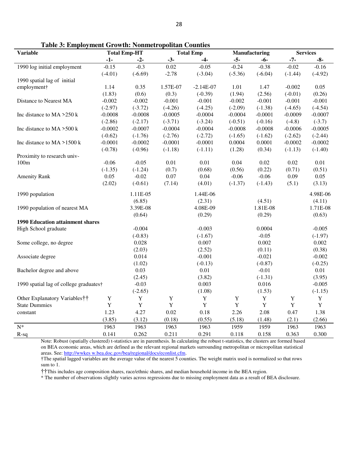| <b>Variable</b>                         |             | <b>Total Emp-HT</b> | <b>Total Emp</b> |             | Manufacturing |             | <b>Services</b> |             |
|-----------------------------------------|-------------|---------------------|------------------|-------------|---------------|-------------|-----------------|-------------|
|                                         | $-1-$       | $-2-$               | $-3-$            | $-4-$       | $-5-$         | $-6-$       | $-7-$           | $-8-$       |
| 1990 log initial employment             | $-0.15$     | $-0.3$              | 0.02             | $-0.05$     | $-0.24$       | $-0.38$     | $-0.02$         | $-0.16$     |
|                                         | $(-4.01)$   | $(-6.69)$           | $-2.78$          | $(-3.04)$   | $(-5.36)$     | $(-6.04)$   | $(-1.44)$       | $(-4.92)$   |
| 1990 spatial lag of initial             |             |                     |                  |             |               |             |                 |             |
| employment†                             | 1.14        | 0.35                | 1.57E-07         | $-2.14E-07$ | 1.01          | 1.47        | $-0.002$        | 0.05        |
|                                         | (1.83)      | (0.6)               | (0.3)            | $(-0.39)$   | (1.94)        | (2.56)      | $(-0.01)$       | (0.26)      |
| Distance to Nearest MA                  | $-0.002$    | $-0.002$            | $-0.001$         | $-0.001$    | $-0.002$      | $-0.001$    | $-0.001$        | $-0.001$    |
|                                         | $(-2.97)$   | $(-3.72)$           | $(-4.26)$        | $(-4.25)$   | $(-2.09)$     | $(-1.38)$   | $(-4.65)$       | $(-4.54)$   |
| Inc distance to MA >250 k               | $-0.0008$   | $-0.0008$           | $-0.0005$        | $-0.0004$   | $-0.0004$     | $-0.0001$   | $-0.0009$       | $-0.0007$   |
|                                         | $(-2.86)$   | $(-2.17)$           | $(-3.71)$        | $(-3.24)$   | $(-0.51)$     | $(-0.16)$   | $(-4.8)$        | $(-3.7)$    |
| Inc distance to MA >500 k               | $-0.0002$   | $-0.0007$           | $-0.0004$        | $-0.0004$   | $-0.0008$     | $-0.0008$   | $-0.0006$       | $-0.0005$   |
|                                         | $(-0.62)$   | $(-1.76)$           | $(-2.76)$        | $(-2.72)$   | $(-1.65)$     | $(-1.62)$   | $(-2.62)$       | $(-2.44)$   |
| Inc distance to $MA > 1500$ k           | $-0.0001$   | $-0.0002$           | $-0.0001$        | $-0.0001$   | 0.0004        | 0.0001      | $-0.0002$       | $-0.0002$   |
|                                         | $(-0.78)$   | $(-0.96)$           | $(-1.18)$        | $(-1.11)$   | (1.28)        | (0.34)      | $(-1.13)$       | $(-1.40)$   |
| Proximity to research univ-             |             |                     |                  |             |               |             |                 |             |
| 100m                                    | $-0.06$     | $-0.05$             | 0.01             | 0.01        | 0.04          | 0.02        | 0.02            | $0.01\,$    |
|                                         | $(-1.35)$   | $(-1.24)$           | (0.7)            | (0.68)      | (0.56)        | (0.22)      | (0.71)          | (0.51)      |
| <b>Amenity Rank</b>                     | 0.05        | $-0.02$             | 0.07             | 0.04        | $-0.06$       | $-0.06$     | 0.09            | 0.05        |
|                                         | (2.02)      | $(-0.61)$           | (7.14)           | (4.01)      | $(-1.37)$     | $(-1.43)$   | (5.1)           | (3.13)      |
| 1990 population                         |             | 1.11E-05            |                  | 1.44E-06    |               |             |                 | 4.98E-06    |
|                                         |             | (6.85)              |                  | (2.31)      |               | (4.51)      |                 | (4.11)      |
| 1990 population of nearest MA           |             | 3.39E-08            |                  | 4.08E-09    |               | 1.81E-08    |                 | 1.71E-08    |
|                                         |             | (0.64)              |                  | (0.29)      |               | (0.29)      |                 | (0.63)      |
| <b>1990 Education attainment shares</b> |             |                     |                  |             |               |             |                 |             |
| High School graduate                    |             | $-0.004$            |                  | $-0.003$    |               | 0.0004      |                 | $-0.005$    |
|                                         |             | $(-0.83)$           |                  | $(-1.67)$   |               | $-0.05$     |                 | $(-1.97)$   |
| Some college, no degree                 |             | 0.028               |                  | 0.007       |               | 0.002       |                 | 0.002       |
|                                         |             | (2.03)              |                  | (2.52)      |               | (0.11)      |                 | (0.38)      |
| Associate degree                        |             | 0.014               |                  | $-0.001$    |               | $-0.021$    |                 | $-0.002$    |
|                                         |             | (1.02)              |                  | $(-0.13)$   |               | $(-0.87)$   |                 | $(-0.25)$   |
| Bachelor degree and above               |             | 0.03                |                  | $0.01\,$    |               | $-0.01$     |                 | 0.01        |
|                                         |             | (2.45)              |                  | (3.82)      |               | $(-1.31)$   |                 | (3.95)      |
| 1990 spatial lag of college graduates†  |             | $-0.03$             |                  | 0.003       |               | 0.016       |                 | $-0.005$    |
|                                         |             | $(-2.65)$           |                  | (1.08)      |               | (1.53)      |                 | $(-1.15)$   |
| Other Explanatory Variables††           | $\mathbf Y$ | Y                   | $\mathbf Y$      | $\mathbf Y$ | $\mathbf Y$   | $\mathbf Y$ | $\mathbf Y$     | $\mathbf Y$ |
| <b>State Dummies</b>                    | Y           | $\mathbf Y$         | $\mathbf Y$      | $\mathbf Y$ | $\mathbf Y$   | $\mathbf Y$ | $\mathbf Y$     | $\mathbf Y$ |
| constant                                | 1.23        | 4.27                | 0.02             | 0.18        | 2.26          | 2.08        | 0.47            | 1.38        |
|                                         | (3.85)      | (3.12)              | (0.18)           | (0.55)      | (5.18)        | (1.48)      | (2.1)           | (2.66)      |
| $N^*$                                   | 1963        | 1963                | 1963             | 1963        | 1959          | 1959        | 1963            | 1963        |
| $R-sq$                                  | 0.141       | 0.262               | 0.211            | 0.291       | 0.118         | 0.158       | 0.363           | 0.300       |

**Table 3: Employment Growth: Nonmetropolitan Counties**

†The spatial lagged variables are the average value of the nearest 5 counties. The weight matrix used is normalized so that rows sum to 1.

††This includes age composition shares, race/ethnic shares, and median household income in the BEA region.

\* The number of observations slightly varies across regressions due to missing employment data as a result of BEA disclosure.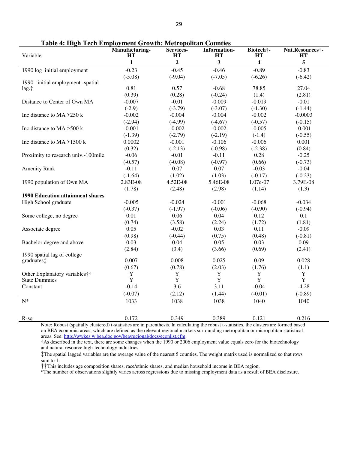| Variable                                | Manufacturing-<br>HТ | Services-<br>HT | <b>Information-</b><br>HТ | Biotech <sup>†</sup> -<br>HТ | Nat.Resources†-<br>HТ |
|-----------------------------------------|----------------------|-----------------|---------------------------|------------------------------|-----------------------|
|                                         | $\mathbf{1}$         | $\mathbf 2$     | $\mathbf{3}$              | 4                            | 5                     |
| 1990 log initial employment             | $-0.23$              | $-0.45$         | $-0.46$                   | $-0.89$                      | $-0.83$               |
|                                         | $(-5.08)$            | $(-9.04)$       | $(-7.05)$                 | $(-6.26)$                    | $(-6.42)$             |
| 1990 initial employment -spatial        |                      |                 |                           |                              |                       |
| lag.                                    | 0.81                 | 0.57            | $-0.68$                   | 78.85                        | 27.04                 |
|                                         | (0.39)               | (0.28)          | $(-0.24)$                 | (1.4)                        | (2.81)                |
| Distance to Center of Own MA            | $-0.007$             | $-0.01$         | $-0.009$                  | $-0.019$                     | $-0.01$               |
|                                         | $(-2.9)$             | $(-3.79)$       | $(-3.07)$                 | $(-1.30)$                    | $(-1.44)$             |
| Inc distance to $MA > 250$ k            | $-0.002$             | $-0.004$        | $-0.004$                  | $-0.002$                     | $-0.0003$             |
|                                         | $(-2.94)$            | $(-4.99)$       | $(-4.67)$                 | $(-0.57)$                    | $(-0.15)$             |
| Inc distance to $MA > 500$ k            | $-0.001$             | $-0.002$        | $-0.002$                  | $-0.005$                     | $-0.001$              |
|                                         | $(-1.39)$            | $(-2.79)$       | $(-2.19)$                 | $(-1.4)$                     | $(-0.55)$             |
| Inc distance to $MA > 1500$ k           | 0.0002               | $-0.001$        | $-0.106$                  | $-0.006$                     | 0.001                 |
|                                         | (0.32)               | $(-2.13)$       | $(-0.98)$                 | $(-2.38)$                    | (0.84)                |
| Proximity to research univ.-100mile     | $-0.06$              | $-0.01$         | $-0.11$                   | 0.28                         | $-0.25$               |
|                                         | $(-0.57)$            | $(-0.08)$       | $(-0.97)$                 | (0.66)                       | $(-0.73)$             |
| <b>Amenity Rank</b>                     | $-0.11$              | 0.07            | 0.07                      | $-0.03$                      | $-0.04$               |
|                                         | $(-1.64)$            | (1.02)          | (1.03)                    | $(-0.17)$                    | $(-0.23)$             |
| 1990 population of Own MA               | 2.83E-08             | 4.52E-08        | 5.46E-08                  | 1.07e-07                     | 3.79E-08              |
|                                         | (1.78)               | (2.48)          | (2.98)                    | (1.14)                       | (1.3)                 |
| <b>1990 Education attainment shares</b> |                      |                 |                           |                              |                       |
| High School graduate                    | $-0.005$             | $-0.024$        | $-0.001$                  | $-0.068$                     | $-0.034$              |
|                                         | $(-0.37)$            | $(-1.97)$       | $(-0.06)$                 | $(-0.90)$                    | $(-0.94)$             |
| Some college, no degree                 | 0.01                 | 0.06            | 0.04                      | 0.12                         | 0.1                   |
|                                         | (0.74)               | (3.58)          | (2.24)                    | (1.72)                       | (1.81)                |
| Associate degree                        | 0.05                 | $-0.02$         | 0.03                      | 0.11                         | $-0.09$               |
|                                         | (0.98)               | $(-0.44)$       | (0.75)                    | (0.48)                       | $(-0.81)$             |
| Bachelor degree and above               | 0.03                 | 0.04            | 0.05                      | 0.03                         | 0.09                  |
|                                         | (2.84)               | (3.4)           | (3.66)                    | (0.69)                       | (2.41)                |
| 1990 spatial lag of college             |                      |                 |                           |                              |                       |
| graduates:                              | 0.007                | 0.008           | 0.025                     | 0.09                         | 0.028                 |
|                                         | (0.67)               | (0.78)          | (2.03)                    | (1.76)                       | (1.1)                 |
| Other Explanatory variables††           | $\mathbf Y$          | Y               | $\mathbf Y$               | $\mathbf Y$                  | Y                     |
| <b>State Dummies</b>                    | Y                    | Y               | $\mathbf Y$               | $\mathbf Y$                  | $\mathbf Y$           |
| Constant                                | $-0.14$              | 3.6             | 3.11                      | $-0.04$                      | $-4.28$               |
|                                         | $(-0.07)$            | (2.12)          | (1.44)                    | $(-0.01)$                    | $(-0.89)$             |
| $N^*$                                   | 1033                 | 1038            | 1038                      | 1040                         | 1040                  |
|                                         |                      |                 |                           |                              |                       |
| $R-sq$                                  | 0.172                | 0.349           | 0.389                     | 0.121                        | 0.216                 |

**Table 4: High Tech Employment Growth: Metropolitan Counties** 

†As described in the text, there are some changes when the 1990 or 2006 employment value equals zero for the biotechnology and natural resource high-technology industries.

‡The spatial lagged variables are the average value of the nearest 5 counties. The weight matrix used is normalized so that rows sum to 1.

††This includes age composition shares, race/ethnic shares, and median household income in BEA region.

\*The number of observations slightly varies across regressions due to missing employment data as a result of BEA disclosure.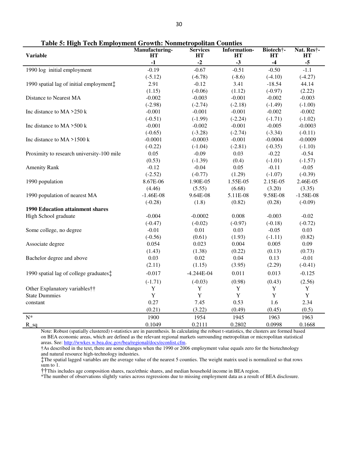| <b>Variable</b>                           | <b>Manufacturing-</b><br>HT | <b>Services</b><br>HT | <b>Information-</b><br><b>HT</b> | Biotech†-<br>HT | Nat. Res†-<br>HТ |
|-------------------------------------------|-----------------------------|-----------------------|----------------------------------|-----------------|------------------|
|                                           | $-1$                        | $-2$                  | $-3$                             | $-4$            | $-5$             |
| 1990 log initial employment               | $-0.19$                     | $-0.67$               | $-0.51$                          | $-0.50$         | $-1.1$           |
|                                           | $(-5.12)$                   | $(-6.78)$             | $(-8.6)$                         | $(-4.10)$       | $(-4.27)$        |
| 1990 spatial lag of initial employment:   | 2.91                        | $-0.12$               | 3.41                             | $-18.54$        | 44.14            |
|                                           | (1.15)                      | $(-0.06)$             | (1.12)                           | $(-0.97)$       | (2.22)           |
| Distance to Nearest MA                    | $-0.002$                    | $-0.003$              | $-0.001$                         | $-0.002$        | $-0.003$         |
|                                           | $(-2.98)$                   | $(-2.74)$             | $(-2.18)$                        | $(-1.49)$       | $(-1.00)$        |
| Inc distance to $MA > 250$ k              | $-0.001$                    | $-0.001$              | $-0.001$                         | $-0.002$        | $-0.002$         |
|                                           | $(-0.51)$                   | $(-1.99)$             | $(-2.24)$                        | $(-1.71)$       | $(-1.02)$        |
| Inc distance to $MA > 500$ k              | $-0.001$                    | $-0.002$              | $-0.001$                         | $-0.005$        | $-0.0003$        |
|                                           | $(-0.65)$                   | $(-3.28)$             | $(-2.74)$                        | $(-3.34)$       | $(-0.11)$        |
| Inc distance to $MA > 1500$ k             | $-0.0001$                   | $-0.0003$             | $-0.001$                         | $-0.0004$       | $-0.0009$        |
|                                           | $(-0.22)$                   | $(-1.04)$             | $(-2.81)$                        | $(-0.35)$       | $(-1.10)$        |
| Proximity to research university-100 mile | 0.05                        | $-0.09$               | 0.03                             | $-0.22$         | $-0.54$          |
|                                           | (0.53)                      | $(-1.39)$             | (0.4)                            | $(-1.01)$       | $(-1.57)$        |
| <b>Amenity Rank</b>                       | $-0.12$                     | $-0.04$               | 0.05                             | $-0.11$         | $-0.05$          |
|                                           | $(-2.52)$                   | $(-0.77)$             | (1.29)                           | $(-1.07)$       | $(-0.39)$        |
| 1990 population                           | 8.67E-06                    | 1.90E-05              | 1.55E-05                         | 2.15E-05        | 2.46E-05         |
|                                           | (4.46)                      | (5.55)                | (6.68)                           | (3.20)          | (3.35)           |
| 1990 population of nearest MA             | $-1.46E-08$                 | 9.64E-08              | 5.11E-08                         | 9.58E-08        | $-1.58E-08$      |
|                                           | $(-0.28)$                   | (1.8)                 | (0.82)                           | (0.28)          | $(-0.09)$        |
| <b>1990 Education attainment shares</b>   |                             |                       |                                  |                 |                  |
| High School graduate                      | $-0.004$                    | $-0.0002$             | 0.008                            | $-0.003$        | $-0.02$          |
|                                           | $(-0.47)$                   | $(-0.02)$             | $(-0.97)$                        | $(-0.18)$       | $(-0.72)$        |
| Some college, no degree                   | $-0.01$                     | 0.01                  | 0.03                             | $-0.05$         | 0.03             |
|                                           | $(-0.56)$                   | (0.61)                | (1.93)                           | $(-1.11)$       | (0.82)           |
| Associate degree                          | 0.054                       | 0.023                 | 0.004                            | 0.005           | 0.09             |
|                                           | (1.43)                      | (1.38)                | (0.22)                           | (0.13)          | (0.73)           |
| Bachelor degree and above                 | 0.03                        | 0.02                  | 0.04                             | 0.13            | $-0.01$          |
|                                           | (2.11)                      | (1.15)                | (3.95)                           | (2.29)          | $(-0.41)$        |
| 1990 spatial lag of college graduates:    | $-0.017$                    | $-4.244E-04$          | 0.011                            | 0.013           | $-0.125$         |
|                                           | $(-1.71)$                   | $(-0.03)$             | (0.98)                           | (0.43)          | (2.56)           |
| Other Explanatory variables††             | $\mathbf Y$                 | $\mathbf Y$           | $\mathbf Y$                      | $\mathbf Y$     | Y                |
| <b>State Dummies</b>                      | $\mathbf Y$                 | $\mathbf Y$           | $\mathbf Y$                      | $\mathbf Y$     | $\mathbf Y$      |
| constant                                  | 0.27                        | 7.45                  | 0.53                             | 1.6             | 2.34             |
|                                           | (0.21)                      | (3.22)                | (0.49)                           | (0.45)          | (0.5)            |
| ${\bf N}^*$                               | 1900                        | 1954                  | 1945                             | 1963            | 1963             |
| $R_{sq}$                                  | 0.1049                      | 0.2111                | 0.2802                           | 0.0998          | 0.1668           |

**Table 5: High Tech Employment Growth: Nonmetropolitan Counties** 

†As described in the text, there are some changes when the 1990 or 2006 employment value equals zero for the biotechnology and natural resource high-technology industries.

‡The spatial lagged variables are the average value of the nearest 5 counties. The weight matrix used is normalized so that rows sum to 1.

††This includes age composition shares, race/ethnic shares, and median household income in BEA region.

\*The number of observations slightly varies across regressions due to missing employment data as a result of BEA disclosure.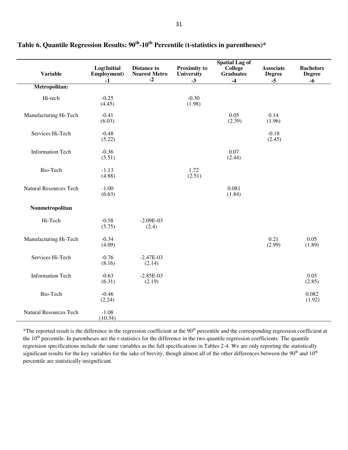|                               |                                    |                                                    |                                           | <b>Spatial Lag of</b>               |                                           |                                           |
|-------------------------------|------------------------------------|----------------------------------------------------|-------------------------------------------|-------------------------------------|-------------------------------------------|-------------------------------------------|
| <b>Variable</b>               | Log(Initial<br>Employment)<br>$-1$ | <b>Distance to</b><br><b>Nearest Metro</b><br>$-2$ | <b>Proximity to</b><br>University<br>$-3$ | College<br><b>Graduates</b><br>$-4$ | <b>Associate</b><br><b>Degree</b><br>$-5$ | <b>Bachelors</b><br><b>Degree</b><br>$-6$ |
| Metropolitan:                 |                                    |                                                    |                                           |                                     |                                           |                                           |
| Hi-tech                       | $-0.25$<br>(4.45)                  |                                                    | $-0.30$<br>(1.98)                         |                                     |                                           |                                           |
| Manufacturing Hi-Tech         | $-0.41$<br>(6.03)                  |                                                    |                                           | 0.05<br>(2.39)                      | 0.14<br>(1.96)                            |                                           |
| Services Hi-Tech              | $-0.48$<br>(5.22)                  |                                                    |                                           |                                     | $-0.18$<br>(2.45)                         |                                           |
| <b>Information Tech</b>       | $-0.36$<br>(5.51)                  |                                                    |                                           | 0.07<br>(2.44)                      |                                           |                                           |
| Bio-Tech                      | $-1.13$<br>(4.88)                  |                                                    | 1.72<br>(2.51)                            |                                     |                                           |                                           |
| <b>Natural Resources Tech</b> | $-1.00$<br>(6.63)                  |                                                    |                                           | 0.081<br>(1.84)                     |                                           |                                           |
| Nonmetropolitan               |                                    |                                                    |                                           |                                     |                                           |                                           |
| Hi-Tech                       | $-0.58$<br>(5.75)                  | $-2.09E-03$<br>(2.4)                               |                                           |                                     |                                           |                                           |
| Manufacturing Hi-Tech         | $-0.34$<br>(4.09)                  |                                                    |                                           |                                     | 0.21<br>(2.99)                            | 0.05<br>(1.89)                            |
| Services Hi-Tech              | $-0.76$<br>(8.16)                  | $-2.47E-03$<br>(2.14)                              |                                           |                                     |                                           |                                           |
| <b>Information Tech</b>       | $-0.63$<br>(6.31)                  | $-2.85E-03$<br>(2.19)                              |                                           |                                     |                                           | 0.05<br>(2.85)                            |
| Bio-Tech                      | $-0.46$<br>(2.24)                  |                                                    |                                           |                                     |                                           | 0.082<br>(1.92)                           |
| <b>Natural Resources Tech</b> | $-1.08$<br>(10.34)                 |                                                    |                                           |                                     |                                           |                                           |

**Table 6. Quantile Regression Results: 90th-10th Percentile (t-statistics in parentheses)\*** 

 $*$ The reported result is the difference in the regression coefficient at the 90<sup>th</sup> percentile and the corresponding regression coefficient at the 10<sup>th</sup> percentile. In parentheses are the t-statistics for the difference in the two quantile regression coefficients. The quantile regression specifications include the same variables as the full specifications in Tables 2-4. We are only reporting the statistically significant results for the key variables for the sake of brevity, though almost all of the other differences between the 90<sup>th</sup> and 10<sup>th</sup> percentile are statistically insignificant.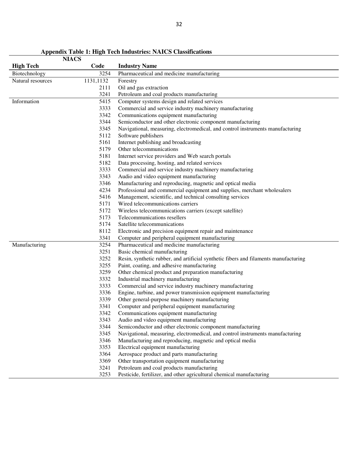| <b>NIACS</b>      |           |                                                                                      |
|-------------------|-----------|--------------------------------------------------------------------------------------|
| <b>High Tech</b>  | Code      | <b>Industry Name</b>                                                                 |
| Biotechnology     | 3254      | Pharmaceutical and medicine manufacturing                                            |
| Natural resources | 1131,1132 | Forestry                                                                             |
|                   | 2111      | Oil and gas extraction                                                               |
|                   | 3241      | Petroleum and coal products manufacturing                                            |
| Information       | 5415      | Computer systems design and related services                                         |
|                   | 3333      | Commercial and service industry machinery manufacturing                              |
|                   | 3342      | Communications equipment manufacturing                                               |
|                   | 3344      | Semiconductor and other electronic component manufacturing                           |
|                   | 3345      | Navigational, measuring, electromedical, and control instruments manufacturing       |
|                   | 5112      | Software publishers                                                                  |
|                   | 5161      | Internet publishing and broadcasting                                                 |
|                   | 5179      | Other telecommunications                                                             |
|                   | 5181      | Internet service providers and Web search portals                                    |
|                   | 5182      | Data processing, hosting, and related services                                       |
|                   | 3333      | Commercial and service industry machinery manufacturing                              |
|                   | 3343      | Audio and video equipment manufacturing                                              |
|                   | 3346      | Manufacturing and reproducing, magnetic and optical media                            |
|                   | 4234      | Professional and commercial equipment and supplies, merchant wholesalers             |
|                   | 5416      | Management, scientific, and technical consulting services                            |
|                   | 5171      | Wired telecommunications carriers                                                    |
|                   | 5172      | Wireless telecommunications carriers (except satellite)                              |
|                   | 5173      | Telecommunications resellers                                                         |
|                   | 5174      | Satellite telecommunications                                                         |
|                   | 8112      | Electronic and precision equipment repair and maintenance                            |
|                   | 3341      | Computer and peripheral equipment manufacturing                                      |
| Manufacturing     | 3254      | Pharmaceutical and medicine manufacturing                                            |
|                   | 3251      | Basic chemical manufacturing                                                         |
|                   | 3252      | Resin, synthetic rubber, and artificial synthetic fibers and filaments manufacturing |
|                   | 3255      | Paint, coating, and adhesive manufacturing                                           |
|                   | 3259      | Other chemical product and preparation manufacturing                                 |
|                   | 3332      | Industrial machinery manufacturing                                                   |
|                   | 3333      | Commercial and service industry machinery manufacturing                              |
|                   | 3336      | Engine, turbine, and power transmission equipment manufacturing                      |
|                   | 3339      | Other general-purpose machinery manufacturing                                        |
|                   | 3341      | Computer and peripheral equipment manufacturing                                      |
|                   | 3342      | Communications equipment manufacturing                                               |
|                   | 3343      | Audio and video equipment manufacturing                                              |
|                   | 3344      | Semiconductor and other electronic component manufacturing                           |
|                   | 3345      | Navigational, measuring, electromedical, and control instruments manufacturing       |
|                   | 3346      | Manufacturing and reproducing, magnetic and optical media                            |
|                   | 3353      | Electrical equipment manufacturing                                                   |
|                   | 3364      | Aerospace product and parts manufacturing                                            |
|                   | 3369      | Other transportation equipment manufacturing                                         |
|                   | 3241      | Petroleum and coal products manufacturing                                            |
|                   | 3253      | Pesticide, fertilizer, and other agricultural chemical manufacturing                 |

**Appendix Table 1: High Tech Industries: NAICS Classifications**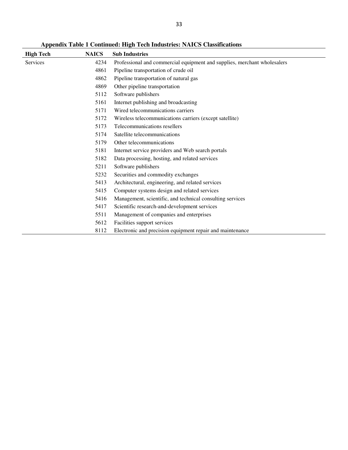**Appendix Table 1 Continued: High Tech Industries: NAICS Classifications** 

| <b>High Tech</b> | <b>NAICS</b> | <b>Sub Industries</b>                                                    |
|------------------|--------------|--------------------------------------------------------------------------|
| <b>Services</b>  | 4234         | Professional and commercial equipment and supplies, merchant wholesalers |
|                  | 4861         | Pipeline transportation of crude oil                                     |
|                  | 4862         | Pipeline transportation of natural gas                                   |
|                  | 4869         | Other pipeline transportation                                            |
|                  | 5112         | Software publishers                                                      |
|                  | 5161         | Internet publishing and broadcasting                                     |
|                  | 5171         | Wired telecommunications carriers                                        |
|                  | 5172         | Wireless telecommunications carriers (except satellite)                  |
|                  | 5173         | Telecommunications resellers                                             |
|                  | 5174         | Satellite telecommunications                                             |
|                  | 5179         | Other telecommunications                                                 |
|                  | 5181         | Internet service providers and Web search portals                        |
|                  | 5182         | Data processing, hosting, and related services                           |
|                  | 5211         | Software publishers                                                      |
|                  | 5232         | Securities and commodity exchanges                                       |
|                  | 5413         | Architectural, engineering, and related services                         |
|                  | 5415         | Computer systems design and related services                             |
|                  | 5416         | Management, scientific, and technical consulting services                |
|                  | 5417         | Scientific research-and-development services                             |
|                  | 5511         | Management of companies and enterprises                                  |
|                  | 5612         | Facilities support services                                              |
|                  | 8112         | Electronic and precision equipment repair and maintenance                |
|                  |              |                                                                          |